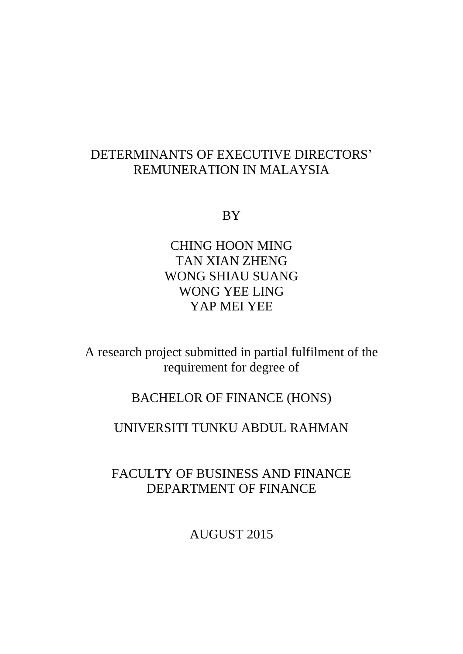# DETERMINANTS OF EXECUTIVE DIRECTORS' REMUNERATION IN MALAYSIA

BY

CHING HOON MING TAN XIAN ZHENG WONG SHIAU SUANG WONG YEE LING YAP MEI YEE

A research project submitted in partial fulfilment of the requirement for degree of

# BACHELOR OF FINANCE (HONS)

# UNIVERSITI TUNKU ABDUL RAHMAN

FACULTY OF BUSINESS AND FINANCE DEPARTMENT OF FINANCE

AUGUST 2015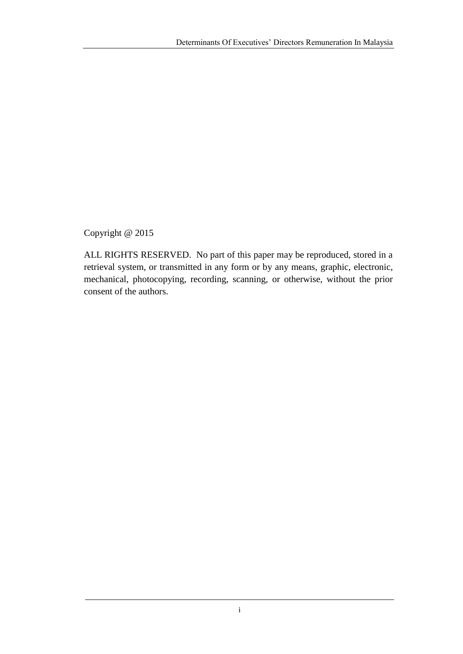Copyright @ 2015

ALL RIGHTS RESERVED. No part of this paper may be reproduced, stored in a retrieval system, or transmitted in any form or by any means, graphic, electronic, mechanical, photocopying, recording, scanning, or otherwise, without the prior consent of the authors.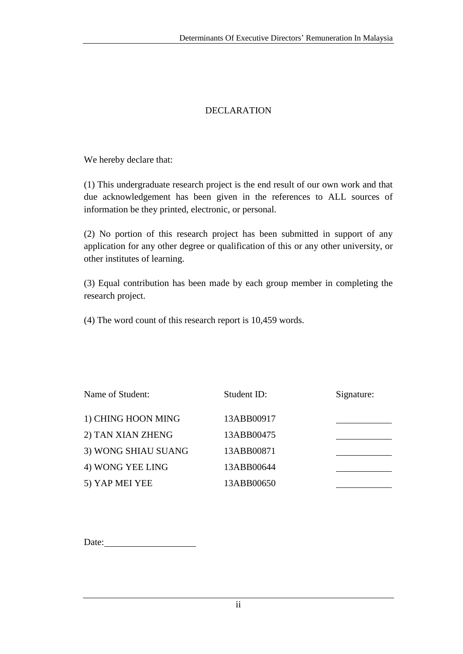### DECLARATION

We hereby declare that:

(1) This undergraduate research project is the end result of our own work and that due acknowledgement has been given in the references to ALL sources of information be they printed, electronic, or personal.

(2) No portion of this research project has been submitted in support of any application for any other degree or qualification of this or any other university, or other institutes of learning.

(3) Equal contribution has been made by each group member in completing the research project.

(4) The word count of this research report is 10,459 words.

| Name of Student:    | Student ID: | Signature: |
|---------------------|-------------|------------|
| 1) CHING HOON MING  | 13ABB00917  |            |
| 2) TAN XIAN ZHENG   | 13ABB00475  |            |
| 3) WONG SHIAU SUANG | 13ABB00871  |            |
| 4) WONG YEE LING    | 13ABB00644  |            |
| 5) YAP MEI YEE      | 13ABB00650  |            |

Date: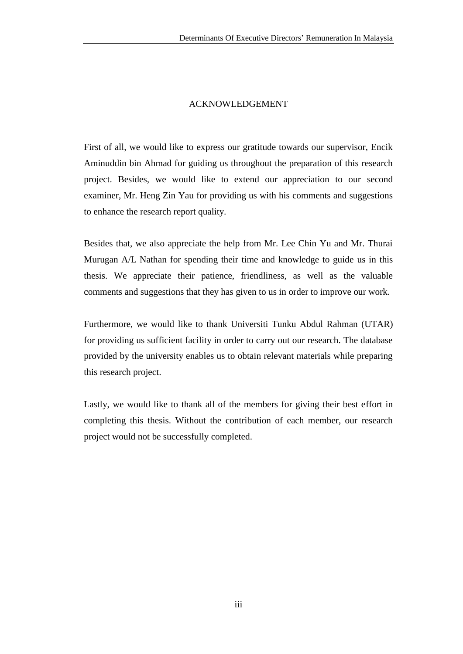#### ACKNOWLEDGEMENT

First of all, we would like to express our gratitude towards our supervisor, Encik Aminuddin bin Ahmad for guiding us throughout the preparation of this research project. Besides, we would like to extend our appreciation to our second examiner, Mr. Heng Zin Yau for providing us with his comments and suggestions to enhance the research report quality.

Besides that, we also appreciate the help from Mr. Lee Chin Yu and Mr. Thurai Murugan A/L Nathan for spending their time and knowledge to guide us in this thesis. We appreciate their patience, friendliness, as well as the valuable comments and suggestions that they has given to us in order to improve our work.

Furthermore, we would like to thank Universiti Tunku Abdul Rahman (UTAR) for providing us sufficient facility in order to carry out our research. The database provided by the university enables us to obtain relevant materials while preparing this research project.

Lastly, we would like to thank all of the members for giving their best effort in completing this thesis. Without the contribution of each member, our research project would not be successfully completed.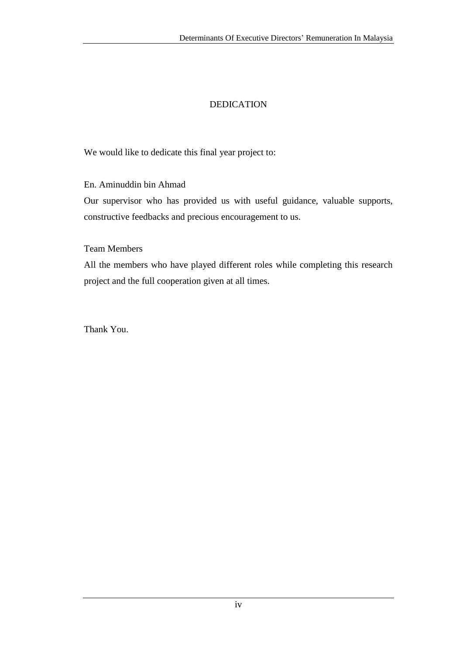## DEDICATION

We would like to dedicate this final year project to:

En. Aminuddin bin Ahmad

Our supervisor who has provided us with useful guidance, valuable supports, constructive feedbacks and precious encouragement to us.

Team Members

All the members who have played different roles while completing this research project and the full cooperation given at all times.

Thank You.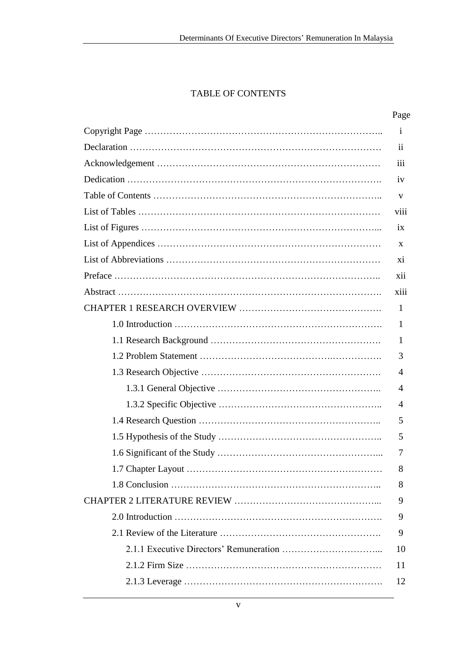## TABLE OF CONTENTS

#### Page

| $\mathbf{i}$     |
|------------------|
| $\mathbf{ii}$    |
| $\overline{111}$ |
| iv               |
| V                |
| Vi11             |
| 1X               |
| X                |
| X1               |
| X11              |
| xiii             |
| $\mathbf{1}$     |
| $\mathbf{1}$     |
| 1                |
| 3                |
| 4                |
| 4                |
| 4                |
| 5                |
| 5                |
| 7                |
| 8                |
| 8                |
| 9                |
| 9                |
| 9                |
| 10               |
| 11               |
| 12               |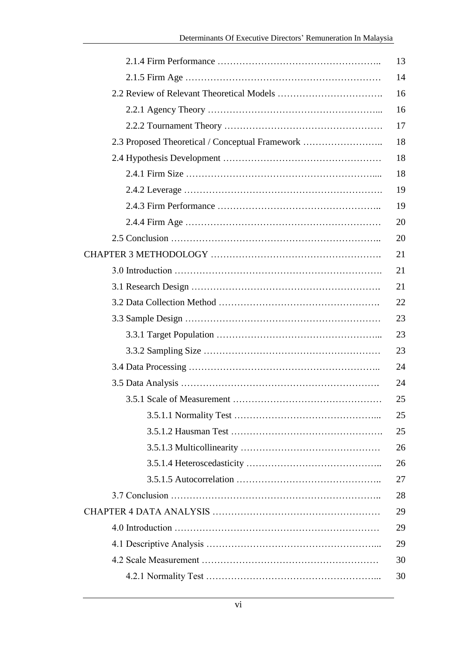|                                                 | 13 |
|-------------------------------------------------|----|
|                                                 | 14 |
|                                                 | 16 |
|                                                 | 16 |
|                                                 | 17 |
| 2.3 Proposed Theoretical / Conceptual Framework | 18 |
|                                                 | 18 |
|                                                 | 18 |
|                                                 | 19 |
|                                                 | 19 |
|                                                 | 20 |
|                                                 | 20 |
|                                                 | 21 |
|                                                 | 21 |
|                                                 | 21 |
|                                                 | 22 |
|                                                 | 23 |
|                                                 | 23 |
|                                                 | 23 |
|                                                 | 24 |
|                                                 | 24 |
|                                                 | 25 |
|                                                 | 25 |
|                                                 | 25 |
|                                                 | 26 |
|                                                 | 26 |
|                                                 | 27 |
|                                                 | 28 |
|                                                 | 29 |
|                                                 | 29 |
|                                                 | 29 |
|                                                 | 30 |
|                                                 | 30 |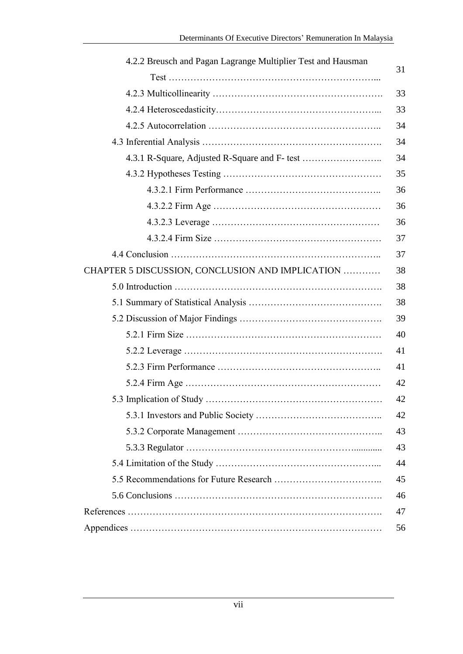| 4.2.2 Breusch and Pagan Lagrange Multiplier Test and Hausman |    |
|--------------------------------------------------------------|----|
|                                                              | 31 |
|                                                              | 33 |
|                                                              | 33 |
|                                                              | 34 |
|                                                              | 34 |
|                                                              | 34 |
|                                                              | 35 |
|                                                              | 36 |
|                                                              | 36 |
|                                                              | 36 |
|                                                              | 37 |
|                                                              | 37 |
| CHAPTER 5 DISCUSSION, CONCLUSION AND IMPLICATION             | 38 |
|                                                              | 38 |
|                                                              | 38 |
|                                                              | 39 |
|                                                              | 40 |
|                                                              | 41 |
|                                                              | 41 |
|                                                              | 42 |
|                                                              | 42 |
|                                                              | 42 |
|                                                              | 43 |
|                                                              | 43 |
|                                                              | 44 |
|                                                              | 45 |
|                                                              | 46 |
|                                                              | 47 |
|                                                              | 56 |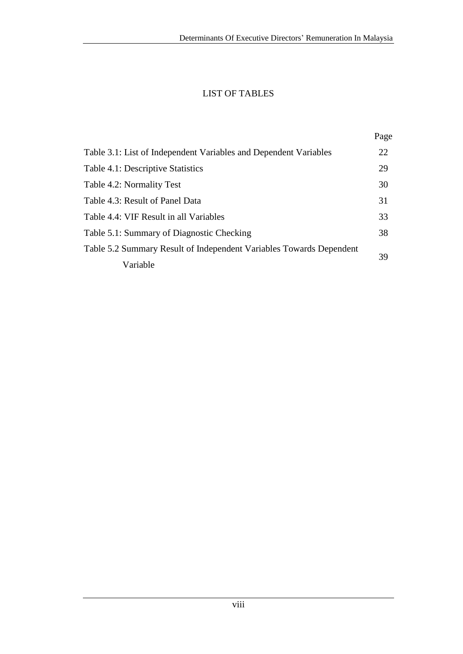## LIST OF TABLES

|                                                                     | Page |
|---------------------------------------------------------------------|------|
| Table 3.1: List of Independent Variables and Dependent Variables    | 22   |
| Table 4.1: Descriptive Statistics                                   | 29   |
| Table 4.2: Normality Test                                           | 30   |
| Table 4.3: Result of Panel Data                                     | 31   |
| Table 4.4: VIF Result in all Variables                              | 33   |
| Table 5.1: Summary of Diagnostic Checking                           | 38   |
| Table 5.2 Summary Result of Independent Variables Towards Dependent | 39   |
| Variable                                                            |      |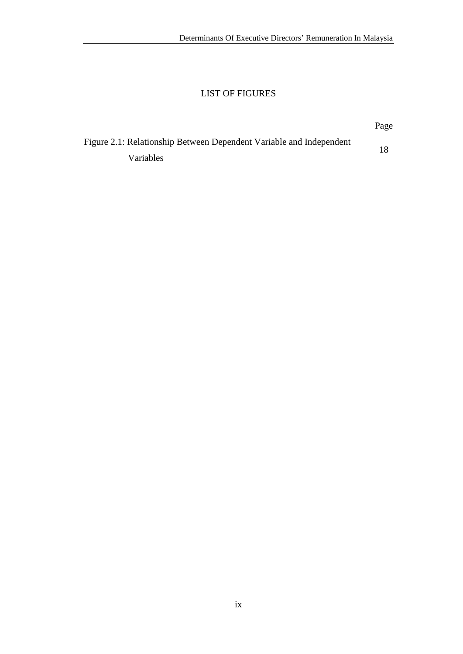## LIST OF FIGURES

| Figure 2.1: Relationship Between Dependent Variable and Independent |  |
|---------------------------------------------------------------------|--|
| Variables                                                           |  |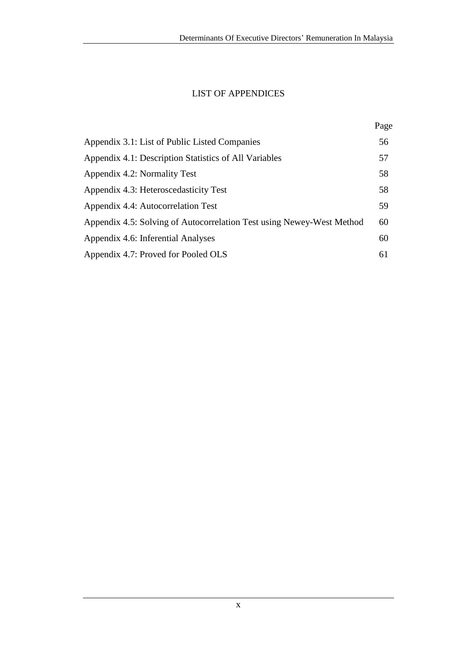## LIST OF APPENDICES

| Appendix 3.1: List of Public Listed Companies                         |    |
|-----------------------------------------------------------------------|----|
| Appendix 4.1: Description Statistics of All Variables                 | 57 |
| Appendix 4.2: Normality Test                                          | 58 |
| Appendix 4.3: Heteroscedasticity Test                                 | 58 |
| Appendix 4.4: Autocorrelation Test                                    | 59 |
| Appendix 4.5: Solving of Autocorrelation Test using Newey-West Method | 60 |
| Appendix 4.6: Inferential Analyses                                    | 60 |
| Appendix 4.7: Proved for Pooled OLS                                   | 61 |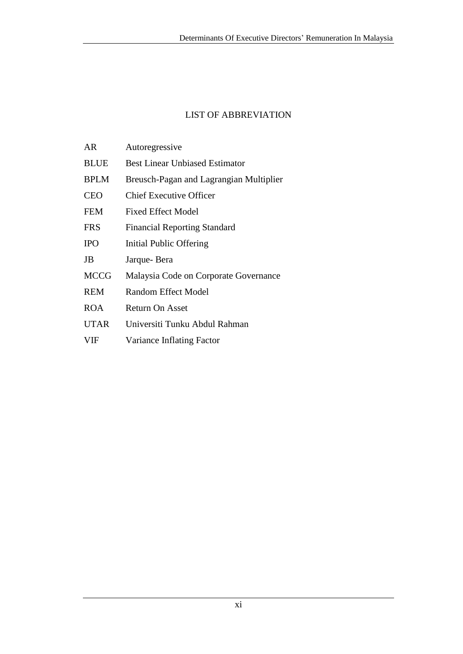### LIST OF ABBREVIATION

| AR          | Autoregressive                          |  |  |
|-------------|-----------------------------------------|--|--|
| <b>BLUE</b> | <b>Best Linear Unbiased Estimator</b>   |  |  |
| <b>BPLM</b> | Breusch-Pagan and Lagrangian Multiplier |  |  |
| <b>CEO</b>  | <b>Chief Executive Officer</b>          |  |  |
| <b>FEM</b>  | <b>Fixed Effect Model</b>               |  |  |
| <b>FRS</b>  | <b>Financial Reporting Standard</b>     |  |  |
| <b>IPO</b>  | Initial Public Offering                 |  |  |
| JB          | Jarque-Bera                             |  |  |
| <b>MCCG</b> | Malaysia Code on Corporate Governance   |  |  |
| <b>REM</b>  | Random Effect Model                     |  |  |
| <b>ROA</b>  | Return On Asset                         |  |  |
| <b>UTAR</b> | Universiti Tunku Abdul Rahman           |  |  |
| <b>VIF</b>  | Variance Inflating Factor               |  |  |
|             |                                         |  |  |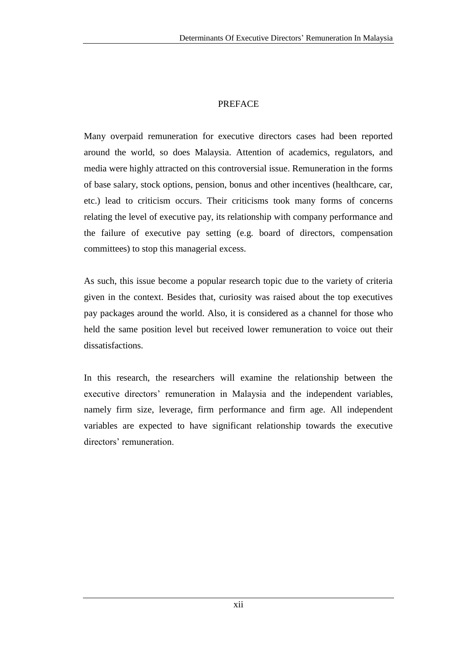#### PREFACE

Many overpaid remuneration for executive directors cases had been reported around the world, so does Malaysia. Attention of academics, regulators, and media were highly attracted on this controversial issue. Remuneration in the forms of base salary, stock options, pension, bonus and other incentives (healthcare, car, etc.) lead to criticism occurs. Their criticisms took many forms of concerns relating the level of executive pay, its relationship with company performance and the failure of executive pay setting (e.g. board of directors, compensation committees) to stop this managerial excess.

As such, this issue become a popular research topic due to the variety of criteria given in the context. Besides that, curiosity was raised about the top executives pay packages around the world. Also, it is considered as a channel for those who held the same position level but received lower remuneration to voice out their dissatisfactions.

In this research, the researchers will examine the relationship between the executive directors' remuneration in Malaysia and the independent variables, namely firm size, leverage, firm performance and firm age. All independent variables are expected to have significant relationship towards the executive directors' remuneration.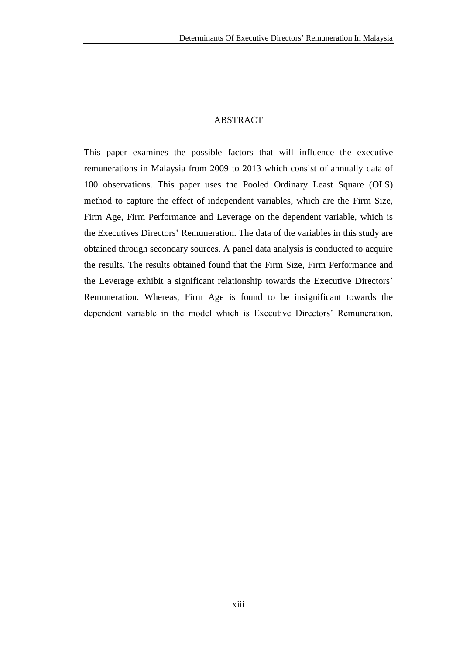#### ABSTRACT

This paper examines the possible factors that will influence the executive remunerations in Malaysia from 2009 to 2013 which consist of annually data of 100 observations. This paper uses the Pooled Ordinary Least Square (OLS) method to capture the effect of independent variables, which are the Firm Size, Firm Age, Firm Performance and Leverage on the dependent variable, which is the Executives Directors' Remuneration. The data of the variables in this study are obtained through secondary sources. A panel data analysis is conducted to acquire the results. The results obtained found that the Firm Size, Firm Performance and the Leverage exhibit a significant relationship towards the Executive Directors' Remuneration. Whereas, Firm Age is found to be insignificant towards the dependent variable in the model which is Executive Directors' Remuneration.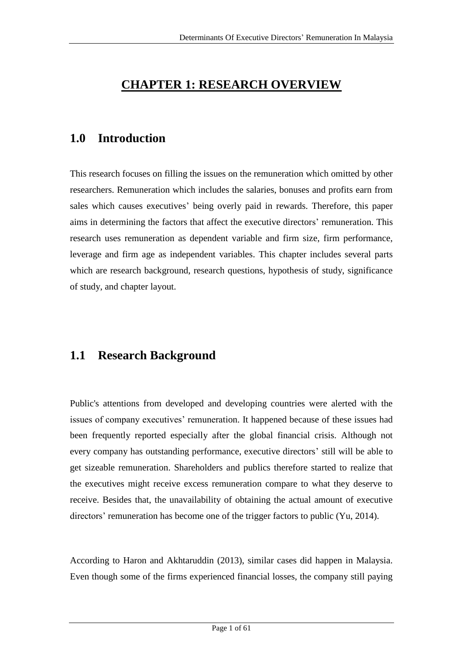# **CHAPTER 1: RESEARCH OVERVIEW**

# **1.0 Introduction**

This research focuses on filling the issues on the remuneration which omitted by other researchers. Remuneration which includes the salaries, bonuses and profits earn from sales which causes executives' being overly paid in rewards. Therefore, this paper aims in determining the factors that affect the executive directors' remuneration. This research uses remuneration as dependent variable and firm size, firm performance, leverage and firm age as independent variables. This chapter includes several parts which are research background, research questions, hypothesis of study, significance of study, and chapter layout.

## **1.1 Research Background**

Public's attentions from developed and developing countries were alerted with the issues of company executives' remuneration. It happened because of these issues had been frequently reported especially after the global financial crisis. Although not every company has outstanding performance, executive directors' still will be able to get sizeable remuneration. Shareholders and publics therefore started to realize that the executives might receive excess remuneration compare to what they deserve to receive. Besides that, the unavailability of obtaining the actual amount of executive directors' remuneration has become one of the trigger factors to public (Yu, 2014).

According to Haron and Akhtaruddin (2013), similar cases did happen in Malaysia. Even though some of the firms experienced financial losses, the company still paying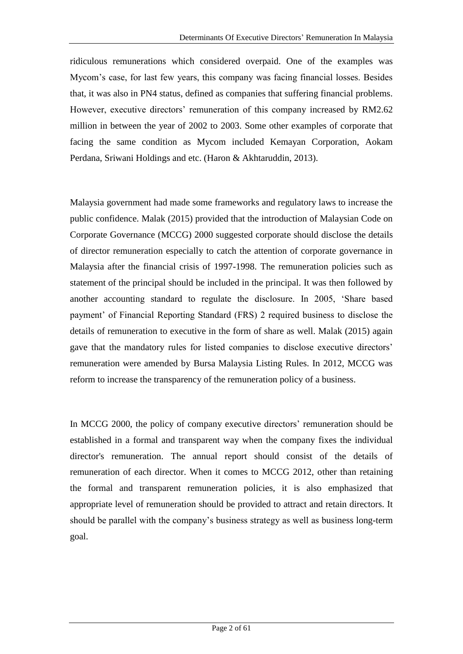ridiculous remunerations which considered overpaid. One of the examples was Mycom's case, for last few years, this company was facing financial losses. Besides that, it was also in PN4 status, defined as companies that suffering financial problems. However, executive directors' remuneration of this company increased by RM2.62 million in between the year of 2002 to 2003. Some other examples of corporate that facing the same condition as Mycom included Kemayan Corporation, Aokam Perdana, Sriwani Holdings and etc. (Haron & Akhtaruddin, 2013).

Malaysia government had made some frameworks and regulatory laws to increase the public confidence. Malak (2015) provided that the introduction of Malaysian Code on Corporate Governance (MCCG) 2000 suggested corporate should disclose the details of director remuneration especially to catch the attention of corporate governance in Malaysia after the financial crisis of 1997-1998. The remuneration policies such as statement of the principal should be included in the principal. It was then followed by another accounting standard to regulate the disclosure. In 2005, 'Share based payment' of Financial Reporting Standard (FRS) 2 required business to disclose the details of remuneration to executive in the form of share as well. Malak (2015) again gave that the mandatory rules for listed companies to disclose executive directors' remuneration were amended by Bursa Malaysia Listing Rules. In 2012, MCCG was reform to increase the transparency of the remuneration policy of a business.

In MCCG 2000, the policy of company executive directors' remuneration should be established in a formal and transparent way when the company fixes the individual director's remuneration. The annual report should consist of the details of remuneration of each director. When it comes to MCCG 2012, other than retaining the formal and transparent remuneration policies, it is also emphasized that appropriate level of remuneration should be provided to attract and retain directors. It should be parallel with the company's business strategy as well as business long-term goal.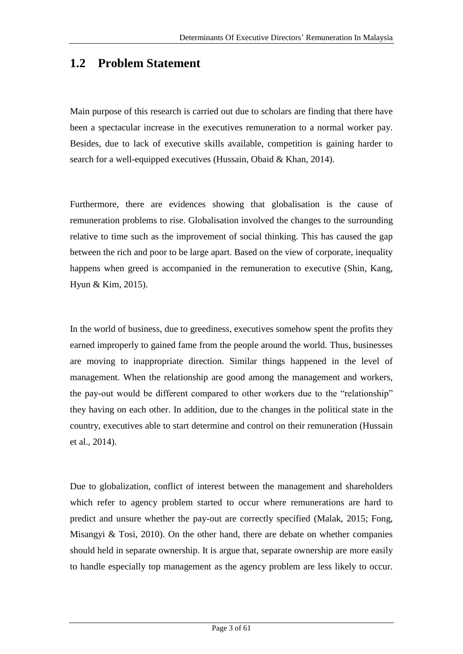## **1.2 Problem Statement**

Main purpose of this research is carried out due to scholars are finding that there have been a spectacular increase in the executives remuneration to a normal worker pay. Besides, due to lack of executive skills available, competition is gaining harder to search for a well-equipped executives (Hussain, Obaid & Khan, 2014).

Furthermore, there are evidences showing that globalisation is the cause of remuneration problems to rise. Globalisation involved the changes to the surrounding relative to time such as the improvement of social thinking. This has caused the gap between the rich and poor to be large apart. Based on the view of corporate, inequality happens when greed is accompanied in the remuneration to executive (Shin, Kang, Hyun & Kim, 2015).

In the world of business, due to greediness, executives somehow spent the profits they earned improperly to gained fame from the people around the world. Thus, businesses are moving to inappropriate direction. Similar things happened in the level of management. When the relationship are good among the management and workers, the pay-out would be different compared to other workers due to the "relationship" they having on each other. In addition, due to the changes in the political state in the country, executives able to start determine and control on their remuneration (Hussain et al., 2014).

Due to globalization, conflict of interest between the management and shareholders which refer to agency problem started to occur where remunerations are hard to predict and unsure whether the pay-out are correctly specified (Malak, 2015; Fong, Misangyi & Tosi, 2010). On the other hand, there are debate on whether companies should held in separate ownership. It is argue that, separate ownership are more easily to handle especially top management as the agency problem are less likely to occur.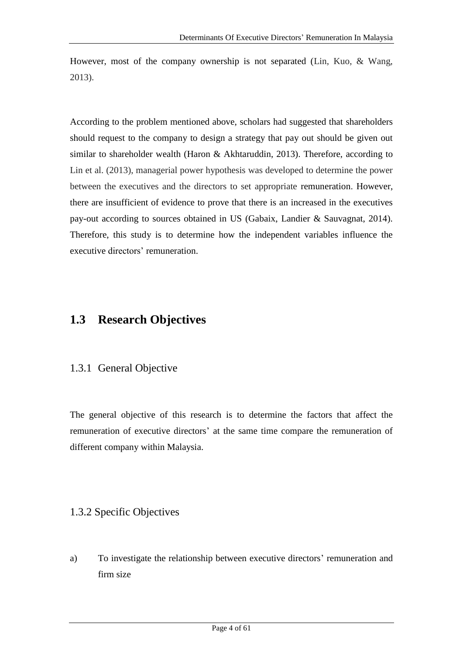However, most of the company ownership is not separated (Lin, Kuo, & Wang, 2013).

According to the problem mentioned above, scholars had suggested that shareholders should request to the company to design a strategy that pay out should be given out similar to shareholder wealth (Haron & Akhtaruddin, 2013). Therefore, according to Lin et al. (2013), managerial power hypothesis was developed to determine the power between the executives and the directors to set appropriate remuneration. However, there are insufficient of evidence to prove that there is an increased in the executives pay-out according to sources obtained in US (Gabaix, Landier & Sauvagnat, 2014). Therefore, this study is to determine how the independent variables influence the executive directors' remuneration.

## **1.3 Research Objectives**

### 1.3.1 General Objective

The general objective of this research is to determine the factors that affect the remuneration of executive directors' at the same time compare the remuneration of different company within Malaysia.

### 1.3.2 Specific Objectives

a) To investigate the relationship between executive directors' remuneration and firm size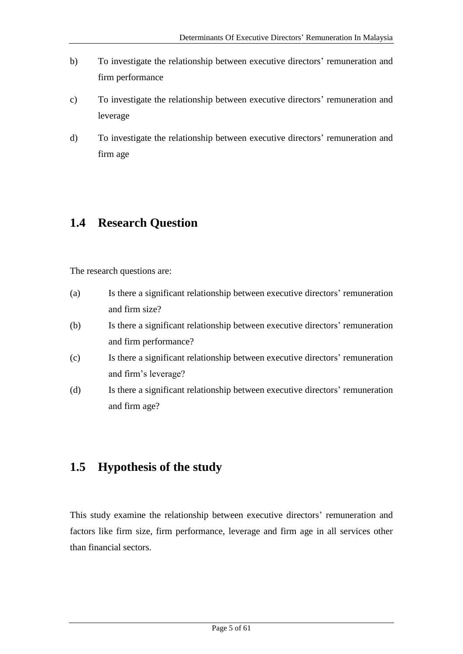- b) To investigate the relationship between executive directors' remuneration and firm performance
- c) To investigate the relationship between executive directors' remuneration and leverage
- d) To investigate the relationship between executive directors' remuneration and firm age

# **1.4 Research Question**

The research questions are:

- (a) Is there a significant relationship between executive directors' remuneration and firm size?
- (b) Is there a significant relationship between executive directors' remuneration and firm performance?
- (c) Is there a significant relationship between executive directors' remuneration and firm's leverage?
- (d) Is there a significant relationship between executive directors' remuneration and firm age?

## **1.5 Hypothesis of the study**

This study examine the relationship between executive directors' remuneration and factors like firm size, firm performance, leverage and firm age in all services other than financial sectors.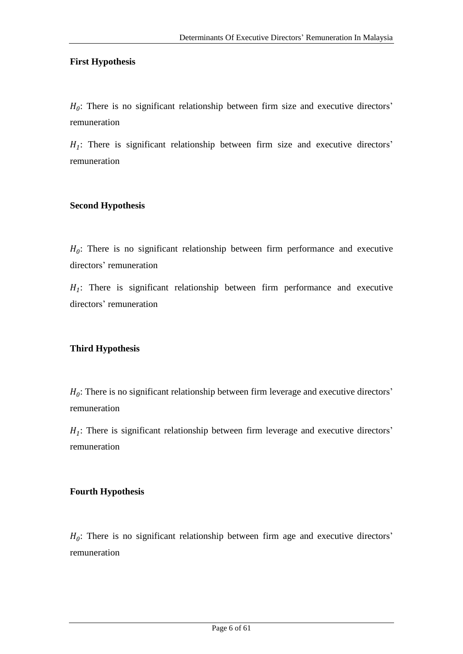#### **First Hypothesis**

 $H_0$ : There is no significant relationship between firm size and executive directors' remuneration

 $H_1$ : There is significant relationship between firm size and executive directors' remuneration

#### **Second Hypothesis**

 $H_0$ : There is no significant relationship between firm performance and executive directors' remuneration

 $H_1$ : There is significant relationship between firm performance and executive directors' remuneration

#### **Third Hypothesis**

 $H_0$ : There is no significant relationship between firm leverage and executive directors' remuneration

 $H_1$ : There is significant relationship between firm leverage and executive directors' remuneration

#### **Fourth Hypothesis**

 $H_0$ : There is no significant relationship between firm age and executive directors' remuneration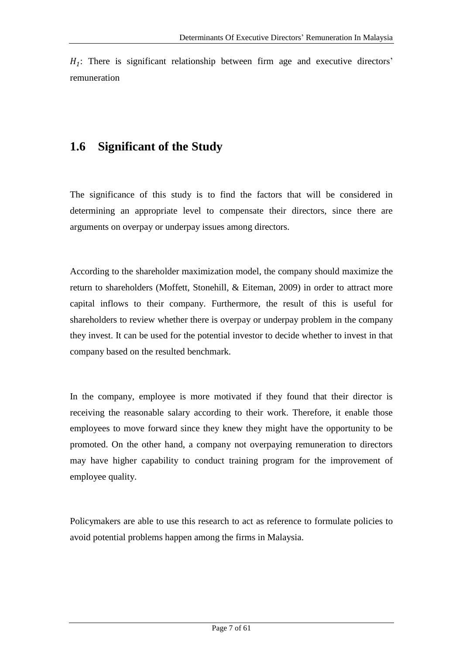$H_1$ : There is significant relationship between firm age and executive directors' remuneration

# **1.6 Significant of the Study**

The significance of this study is to find the factors that will be considered in determining an appropriate level to compensate their directors, since there are arguments on overpay or underpay issues among directors.

According to the shareholder maximization model, the company should maximize the return to shareholders (Moffett, Stonehill, & Eiteman, 2009) in order to attract more capital inflows to their company. Furthermore, the result of this is useful for shareholders to review whether there is overpay or underpay problem in the company they invest. It can be used for the potential investor to decide whether to invest in that company based on the resulted benchmark.

In the company, employee is more motivated if they found that their director is receiving the reasonable salary according to their work. Therefore, it enable those employees to move forward since they knew they might have the opportunity to be promoted. On the other hand, a company not overpaying remuneration to directors may have higher capability to conduct training program for the improvement of employee quality.

Policymakers are able to use this research to act as reference to formulate policies to avoid potential problems happen among the firms in Malaysia.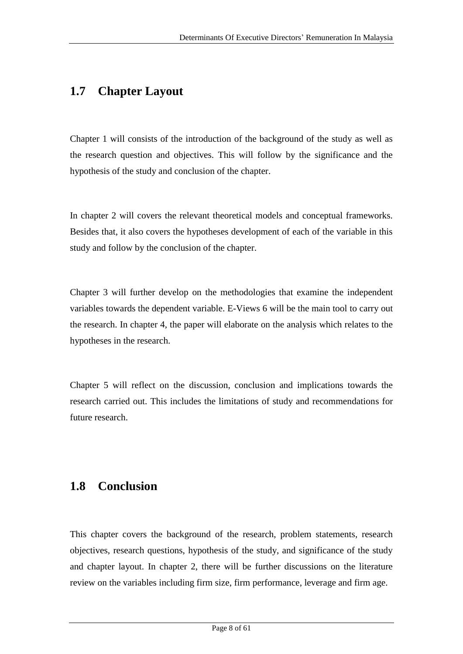# **1.7 Chapter Layout**

Chapter 1 will consists of the introduction of the background of the study as well as the research question and objectives. This will follow by the significance and the hypothesis of the study and conclusion of the chapter.

In chapter 2 will covers the relevant theoretical models and conceptual frameworks. Besides that, it also covers the hypotheses development of each of the variable in this study and follow by the conclusion of the chapter.

Chapter 3 will further develop on the methodologies that examine the independent variables towards the dependent variable. E-Views 6 will be the main tool to carry out the research. In chapter 4, the paper will elaborate on the analysis which relates to the hypotheses in the research.

Chapter 5 will reflect on the discussion, conclusion and implications towards the research carried out. This includes the limitations of study and recommendations for future research.

## **1.8 Conclusion**

This chapter covers the background of the research, problem statements, research objectives, research questions, hypothesis of the study, and significance of the study and chapter layout. In chapter 2, there will be further discussions on the literature review on the variables including firm size, firm performance, leverage and firm age.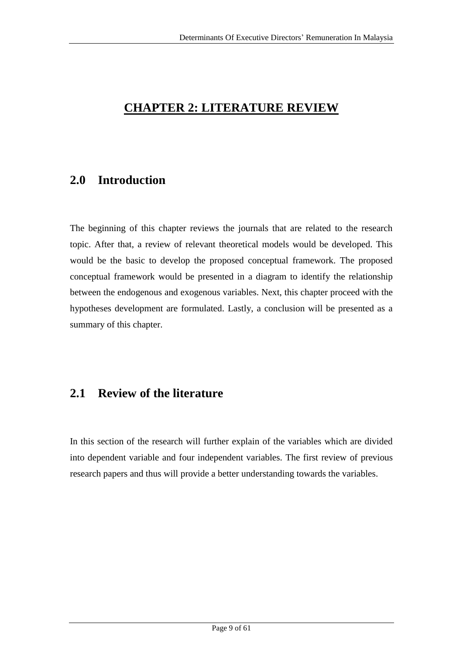# **CHAPTER 2: LITERATURE REVIEW**

## **2.0 Introduction**

The beginning of this chapter reviews the journals that are related to the research topic. After that, a review of relevant theoretical models would be developed. This would be the basic to develop the proposed conceptual framework. The proposed conceptual framework would be presented in a diagram to identify the relationship between the endogenous and exogenous variables. Next, this chapter proceed with the hypotheses development are formulated. Lastly, a conclusion will be presented as a summary of this chapter.

## **2.1 Review of the literature**

In this section of the research will further explain of the variables which are divided into dependent variable and four independent variables. The first review of previous research papers and thus will provide a better understanding towards the variables.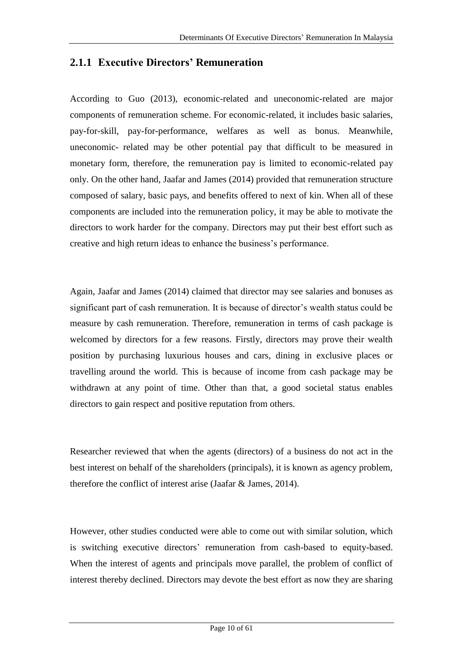## **2.1.1 Executive Directors' Remuneration**

According to Guo (2013), economic-related and uneconomic-related are major components of remuneration scheme. For economic-related, it includes basic salaries, pay-for-skill, pay-for-performance, welfares as well as bonus. Meanwhile, uneconomic- related may be other potential pay that difficult to be measured in monetary form, therefore, the remuneration pay is limited to economic-related pay only. On the other hand, Jaafar and James (2014) provided that remuneration structure composed of salary, basic pays, and benefits offered to next of kin. When all of these components are included into the remuneration policy, it may be able to motivate the directors to work harder for the company. Directors may put their best effort such as creative and high return ideas to enhance the business's performance.

Again, Jaafar and James (2014) claimed that director may see salaries and bonuses as significant part of cash remuneration. It is because of director's wealth status could be measure by cash remuneration. Therefore, remuneration in terms of cash package is welcomed by directors for a few reasons. Firstly, directors may prove their wealth position by purchasing luxurious houses and cars, dining in exclusive places or travelling around the world. This is because of income from cash package may be withdrawn at any point of time. Other than that, a good societal status enables directors to gain respect and positive reputation from others.

Researcher reviewed that when the agents (directors) of a business do not act in the best interest on behalf of the shareholders (principals), it is known as agency problem, therefore the conflict of interest arise (Jaafar & James, 2014).

However, other studies conducted were able to come out with similar solution, which is switching executive directors' remuneration from cash-based to equity-based. When the interest of agents and principals move parallel, the problem of conflict of interest thereby declined. Directors may devote the best effort as now they are sharing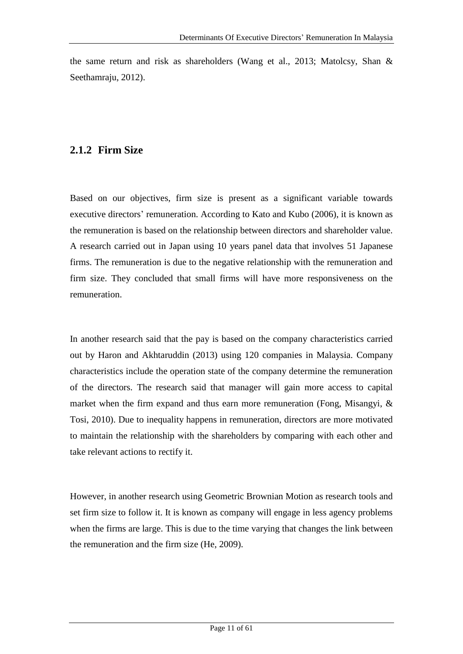the same return and risk as shareholders (Wang et al., 2013; Matolcsy, Shan & Seethamraju, 2012).

## **2.1.2 Firm Size**

Based on our objectives, firm size is present as a significant variable towards executive directors' remuneration. According to Kato and Kubo (2006), it is known as the remuneration is based on the relationship between directors and shareholder value. A research carried out in Japan using 10 years panel data that involves 51 Japanese firms. The remuneration is due to the negative relationship with the remuneration and firm size. They concluded that small firms will have more responsiveness on the remuneration.

In another research said that the pay is based on the company characteristics carried out by Haron and Akhtaruddin (2013) using 120 companies in Malaysia. Company characteristics include the operation state of the company determine the remuneration of the directors. The research said that manager will gain more access to capital market when the firm expand and thus earn more remuneration (Fong, Misangyi, & Tosi, 2010). Due to inequality happens in remuneration, directors are more motivated to maintain the relationship with the shareholders by comparing with each other and take relevant actions to rectify it.

However, in another research using Geometric Brownian Motion as research tools and set firm size to follow it. It is known as company will engage in less agency problems when the firms are large. This is due to the time varying that changes the link between the remuneration and the firm size (He, 2009).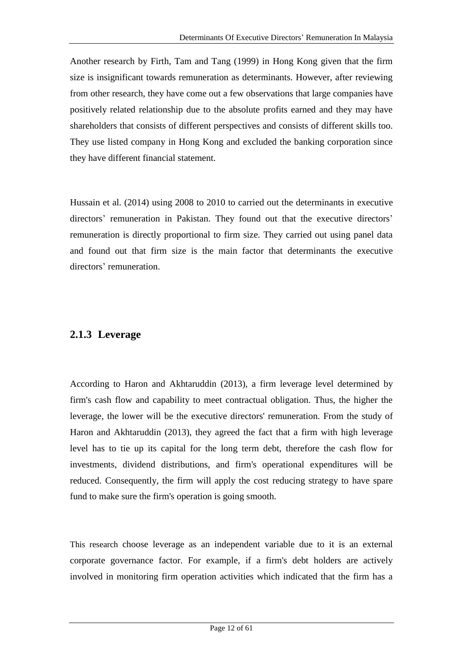Another research by Firth, Tam and Tang (1999) in Hong Kong given that the firm size is insignificant towards remuneration as determinants. However, after reviewing from other research, they have come out a few observations that large companies have positively related relationship due to the absolute profits earned and they may have shareholders that consists of different perspectives and consists of different skills too. They use listed company in Hong Kong and excluded the banking corporation since they have different financial statement.

Hussain et al. (2014) using 2008 to 2010 to carried out the determinants in executive directors' remuneration in Pakistan. They found out that the executive directors' remuneration is directly proportional to firm size. They carried out using panel data and found out that firm size is the main factor that determinants the executive directors' remuneration.

## **2.1.3 Leverage**

According to Haron and Akhtaruddin (2013), a firm leverage level determined by firm's cash flow and capability to meet contractual obligation. Thus, the higher the leverage, the lower will be the executive directors' remuneration. From the study of Haron and Akhtaruddin (2013), they agreed the fact that a firm with high leverage level has to tie up its capital for the long term debt, therefore the cash flow for investments, dividend distributions, and firm's operational expenditures will be reduced. Consequently, the firm will apply the cost reducing strategy to have spare fund to make sure the firm's operation is going smooth.

This research choose leverage as an independent variable due to it is an external corporate governance factor. For example, if a firm's debt holders are actively involved in monitoring firm operation activities which indicated that the firm has a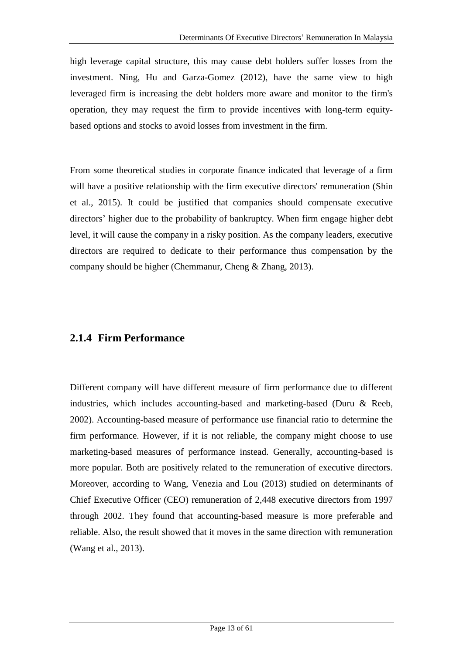high leverage capital structure, this may cause debt holders suffer losses from the investment. Ning, Hu and Garza-Gomez (2012), have the same view to high leveraged firm is increasing the debt holders more aware and monitor to the firm's operation, they may request the firm to provide incentives with long-term equitybased options and stocks to avoid losses from investment in the firm.

From some theoretical studies in corporate finance indicated that leverage of a firm will have a positive relationship with the firm executive directors' remuneration (Shin et al., 2015). It could be justified that companies should compensate executive directors' higher due to the probability of bankruptcy. When firm engage higher debt level, it will cause the company in a risky position. As the company leaders, executive directors are required to dedicate to their performance thus compensation by the company should be higher (Chemmanur, Cheng & Zhang, 2013).

### **2.1.4 Firm Performance**

Different company will have different measure of firm performance due to different industries, which includes accounting-based and marketing-based (Duru & Reeb, 2002). Accounting-based measure of performance use financial ratio to determine the firm performance. However, if it is not reliable, the company might choose to use marketing-based measures of performance instead. Generally, accounting-based is more popular. Both are positively related to the remuneration of executive directors. Moreover, according to Wang, Venezia and Lou (2013) studied on determinants of Chief Executive Officer (CEO) remuneration of 2,448 executive directors from 1997 through 2002. They found that accounting-based measure is more preferable and reliable. Also, the result showed that it moves in the same direction with remuneration (Wang et al., 2013).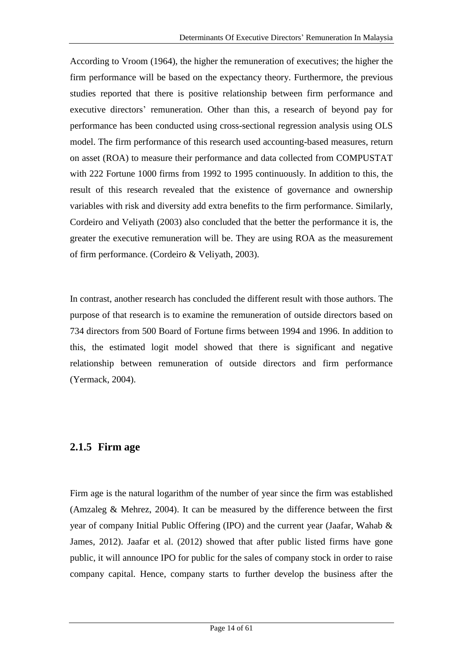According to Vroom (1964), the higher the remuneration of executives; the higher the firm performance will be based on the expectancy theory. Furthermore, the previous studies reported that there is positive relationship between firm performance and executive directors' remuneration. Other than this, a research of beyond pay for performance has been conducted using cross-sectional regression analysis using OLS model. The firm performance of this research used accounting-based measures, return on asset (ROA) to measure their performance and data collected from COMPUSTAT with 222 Fortune 1000 firms from 1992 to 1995 continuously. In addition to this, the result of this research revealed that the existence of governance and ownership variables with risk and diversity add extra benefits to the firm performance. Similarly, Cordeiro and Veliyath (2003) also concluded that the better the performance it is, the greater the executive remuneration will be. They are using ROA as the measurement of firm performance. (Cordeiro & Veliyath, 2003).

In contrast, another research has concluded the different result with those authors. The purpose of that research is to examine the remuneration of outside directors based on 734 directors from 500 Board of Fortune firms between 1994 and 1996. In addition to this, the estimated logit model showed that there is significant and negative relationship between remuneration of outside directors and firm performance (Yermack, 2004).

### **2.1.5 Firm age**

Firm age is the natural logarithm of the number of year since the firm was established (Amzaleg & Mehrez, 2004). It can be measured by the difference between the first year of company Initial Public Offering (IPO) and the current year (Jaafar, Wahab & James, 2012). Jaafar et al. (2012) showed that after public listed firms have gone public, it will announce IPO for public for the sales of company stock in order to raise company capital. Hence, company starts to further develop the business after the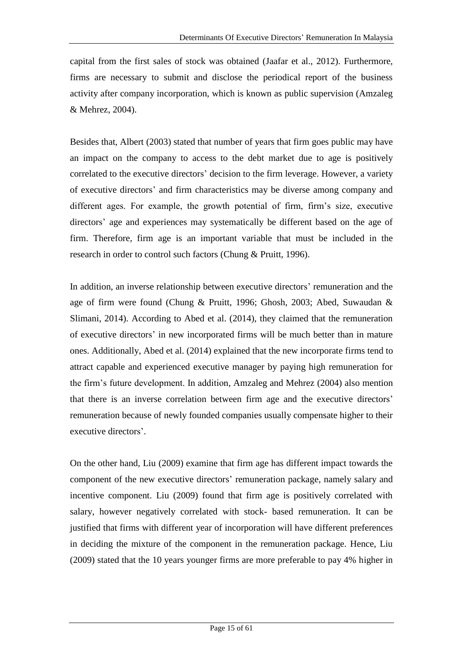capital from the first sales of stock was obtained (Jaafar et al., 2012). Furthermore, firms are necessary to submit and disclose the periodical report of the business activity after company incorporation, which is known as public supervision (Amzaleg & Mehrez, 2004).

Besides that, Albert (2003) stated that number of years that firm goes public may have an impact on the company to access to the debt market due to age is positively correlated to the executive directors' decision to the firm leverage. However, a variety of executive directors' and firm characteristics may be diverse among company and different ages. For example, the growth potential of firm, firm's size, executive directors' age and experiences may systematically be different based on the age of firm. Therefore, firm age is an important variable that must be included in the research in order to control such factors (Chung & Pruitt, 1996).

In addition, an inverse relationship between executive directors' remuneration and the age of firm were found (Chung & Pruitt, 1996; Ghosh, 2003; Abed, Suwaudan & Slimani, 2014). According to Abed et al. (2014), they claimed that the remuneration of executive directors' in new incorporated firms will be much better than in mature ones. Additionally, Abed et al. (2014) explained that the new incorporate firms tend to attract capable and experienced executive manager by paying high remuneration for the firm's future development. In addition, Amzaleg and Mehrez (2004) also mention that there is an inverse correlation between firm age and the executive directors' remuneration because of newly founded companies usually compensate higher to their executive directors'.

On the other hand, Liu (2009) examine that firm age has different impact towards the component of the new executive directors' remuneration package, namely salary and incentive component. Liu (2009) found that firm age is positively correlated with salary, however negatively correlated with stock- based remuneration. It can be justified that firms with different year of incorporation will have different preferences in deciding the mixture of the component in the remuneration package. Hence, Liu (2009) stated that the 10 years younger firms are more preferable to pay 4% higher in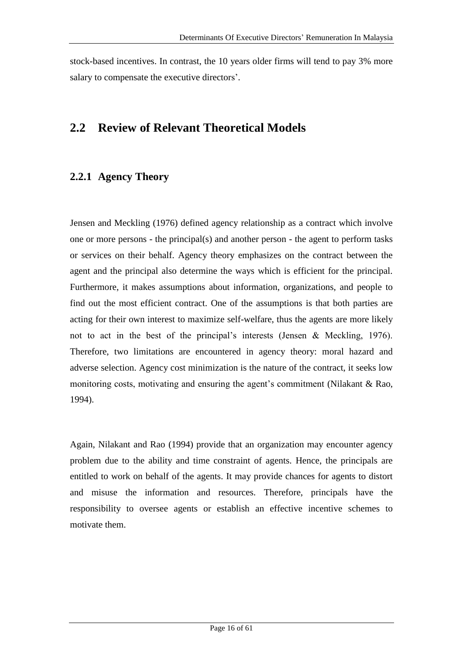stock-based incentives. In contrast, the 10 years older firms will tend to pay 3% more salary to compensate the executive directors'.

## **2.2 Review of Relevant Theoretical Models**

## **2.2.1 Agency Theory**

Jensen and Meckling (1976) defined agency relationship as a contract which involve one or more persons - the principal(s) and another person - the agent to perform tasks or services on their behalf. Agency theory emphasizes on the contract between the agent and the principal also determine the ways which is efficient for the principal. Furthermore, it makes assumptions about information, organizations, and people to find out the most efficient contract. One of the assumptions is that both parties are acting for their own interest to maximize self-welfare, thus the agents are more likely not to act in the best of the principal's interests (Jensen & Meckling, 1976). Therefore, two limitations are encountered in agency theory: moral hazard and adverse selection. Agency cost minimization is the nature of the contract, it seeks low monitoring costs, motivating and ensuring the agent's commitment (Nilakant & Rao, 1994).

Again, Nilakant and Rao (1994) provide that an organization may encounter agency problem due to the ability and time constraint of agents. Hence, the principals are entitled to work on behalf of the agents. It may provide chances for agents to distort and misuse the information and resources. Therefore, principals have the responsibility to oversee agents or establish an effective incentive schemes to motivate them.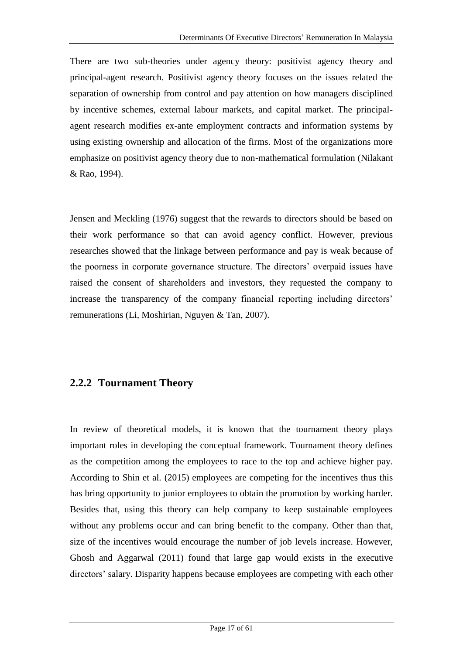There are two sub-theories under agency theory: positivist agency theory and principal-agent research. Positivist agency theory focuses on the issues related the separation of ownership from control and pay attention on how managers disciplined by incentive schemes, external labour markets, and capital market. The principalagent research modifies ex-ante employment contracts and information systems by using existing ownership and allocation of the firms. Most of the organizations more emphasize on positivist agency theory due to non-mathematical formulation (Nilakant & Rao, 1994).

Jensen and Meckling (1976) suggest that the rewards to directors should be based on their work performance so that can avoid agency conflict. However, previous researches showed that the linkage between performance and pay is weak because of the poorness in corporate governance structure. The directors' overpaid issues have raised the consent of shareholders and investors, they requested the company to increase the transparency of the company financial reporting including directors' remunerations (Li, Moshirian, Nguyen & Tan, 2007).

### **2.2.2 Tournament Theory**

In review of theoretical models, it is known that the tournament theory plays important roles in developing the conceptual framework. Tournament theory defines as the competition among the employees to race to the top and achieve higher pay. According to Shin et al. (2015) employees are competing for the incentives thus this has bring opportunity to junior employees to obtain the promotion by working harder. Besides that, using this theory can help company to keep sustainable employees without any problems occur and can bring benefit to the company. Other than that, size of the incentives would encourage the number of job levels increase. However, Ghosh and Aggarwal (2011) found that large gap would exists in the executive directors' salary. Disparity happens because employees are competing with each other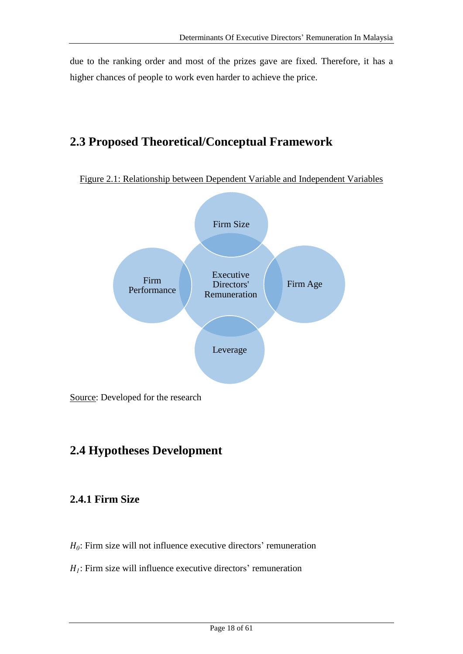due to the ranking order and most of the prizes gave are fixed. Therefore, it has a higher chances of people to work even harder to achieve the price.

# **2.3 Proposed Theoretical/Conceptual Framework**

Figure 2.1: Relationship between Dependent Variable and Independent Variables



# **2.4 Hypotheses Development**

## **2.4.1 Firm Size**

- $H_0$ : Firm size will not influence executive directors' remuneration
- $H_I$ : Firm size will influence executive directors' remuneration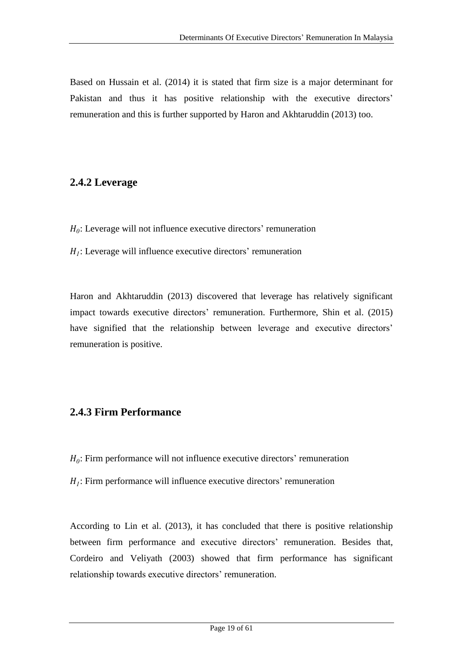Based on Hussain et al. (2014) it is stated that firm size is a major determinant for Pakistan and thus it has positive relationship with the executive directors' remuneration and this is further supported by Haron and Akhtaruddin (2013) too.

## **2.4.2 Leverage**

- $H_0$ : Leverage will not influence executive directors' remuneration
- $H_I$ : Leverage will influence executive directors' remuneration

Haron and Akhtaruddin (2013) discovered that leverage has relatively significant impact towards executive directors' remuneration. Furthermore, Shin et al. (2015) have signified that the relationship between leverage and executive directors' remuneration is positive.

## **2.4.3 Firm Performance**

- $H_0$ : Firm performance will not influence executive directors' remuneration
- $H_I$ : Firm performance will influence executive directors' remuneration

According to Lin et al. (2013), it has concluded that there is positive relationship between firm performance and executive directors' remuneration. Besides that, Cordeiro and Veliyath (2003) showed that firm performance has significant relationship towards executive directors' remuneration.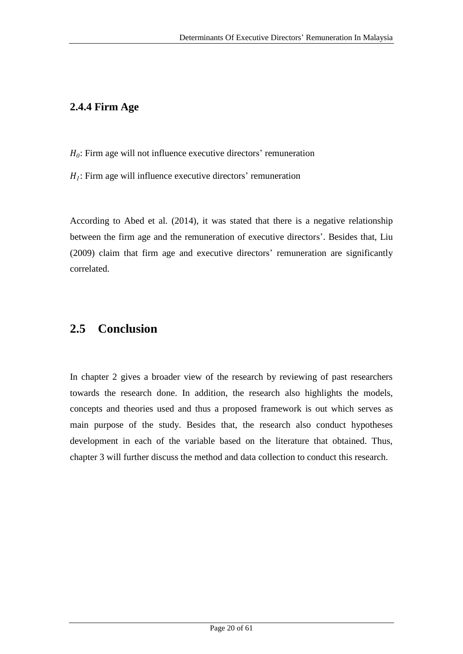## **2.4.4 Firm Age**

- $H_0$ : Firm age will not influence executive directors' remuneration
- $H_I$ : Firm age will influence executive directors' remuneration

According to Abed et al. (2014), it was stated that there is a negative relationship between the firm age and the remuneration of executive directors'. Besides that, Liu (2009) claim that firm age and executive directors' remuneration are significantly correlated.

# **2.5 Conclusion**

In chapter 2 gives a broader view of the research by reviewing of past researchers towards the research done. In addition, the research also highlights the models, concepts and theories used and thus a proposed framework is out which serves as main purpose of the study. Besides that, the research also conduct hypotheses development in each of the variable based on the literature that obtained. Thus, chapter 3 will further discuss the method and data collection to conduct this research.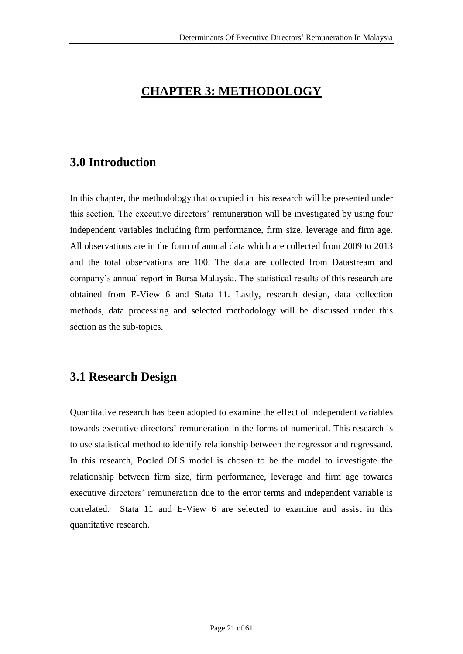# **CHAPTER 3: METHODOLOGY**

# **3.0 Introduction**

In this chapter, the methodology that occupied in this research will be presented under this section. The executive directors' remuneration will be investigated by using four independent variables including firm performance, firm size, leverage and firm age. All observations are in the form of annual data which are collected from 2009 to 2013 and the total observations are 100. The data are collected from Datastream and company's annual report in Bursa Malaysia. The statistical results of this research are obtained from E-View 6 and Stata 11. Lastly, research design, data collection methods, data processing and selected methodology will be discussed under this section as the sub-topics.

# **3.1 Research Design**

Quantitative research has been adopted to examine the effect of independent variables towards executive directors' remuneration in the forms of numerical. This research is to use statistical method to identify relationship between the regressor and regressand. In this research, Pooled OLS model is chosen to be the model to investigate the relationship between firm size, firm performance, leverage and firm age towards executive directors' remuneration due to the error terms and independent variable is correlated. Stata 11 and E-View 6 are selected to examine and assist in this quantitative research.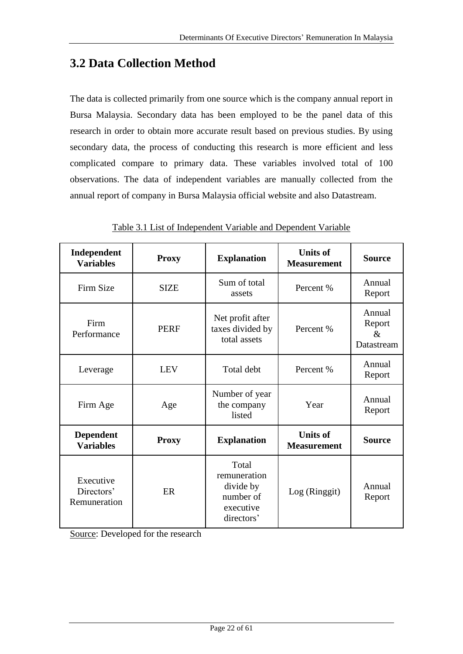# **3.2 Data Collection Method**

The data is collected primarily from one source which is the company annual report in Bursa Malaysia. Secondary data has been employed to be the panel data of this research in order to obtain more accurate result based on previous studies. By using secondary data, the process of conducting this research is more efficient and less complicated compare to primary data. These variables involved total of 100 observations. The data of independent variables are manually collected from the annual report of company in Bursa Malaysia official website and also Datastream.

| Independent<br><b>Variables</b>         | <b>Proxy</b> | <b>Explanation</b>                                                         | <b>Units of</b><br><b>Measurement</b> | <b>Source</b>                          |
|-----------------------------------------|--------------|----------------------------------------------------------------------------|---------------------------------------|----------------------------------------|
| Firm Size                               | <b>SIZE</b>  | Sum of total<br>assets                                                     | Percent %                             | Annual<br>Report                       |
| Firm<br>Performance                     | <b>PERF</b>  | Net profit after<br>taxes divided by<br>total assets                       | Percent %                             | Annual<br>Report<br>$\&$<br>Datastream |
| Leverage                                | <b>LEV</b>   | Total debt                                                                 | Percent %                             | Annual<br>Report                       |
| Firm Age                                | Age          | Number of year<br>the company<br>listed                                    | Year                                  | Annual<br>Report                       |
| <b>Dependent</b><br><b>Variables</b>    | <b>Proxy</b> | <b>Explanation</b>                                                         | <b>Units of</b><br><b>Measurement</b> | <b>Source</b>                          |
| Executive<br>Directors'<br>Remuneration | ER           | Total<br>remuneration<br>divide by<br>number of<br>executive<br>directors' | Log (Ringgit)                         | Annual<br>Report                       |

Table 3.1 List of Independent Variable and Dependent Variable

Source: Developed for the research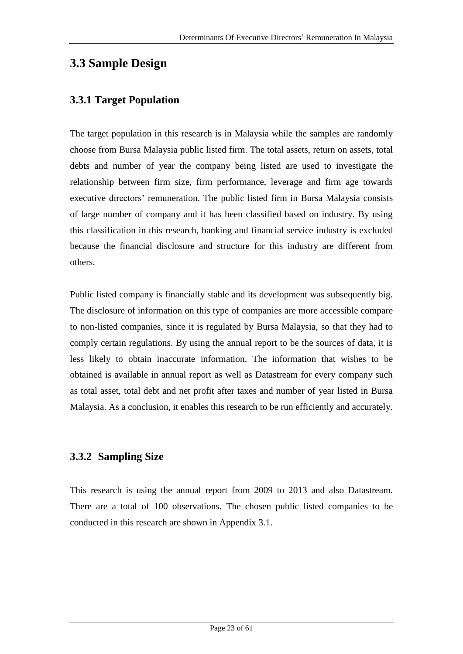## **3.3 Sample Design**

### **3.3.1 Target Population**

The target population in this research is in Malaysia while the samples are randomly choose from Bursa Malaysia public listed firm. The total assets, return on assets, total debts and number of year the company being listed are used to investigate the relationship between firm size, firm performance, leverage and firm age towards executive directors' remuneration. The public listed firm in Bursa Malaysia consists of large number of company and it has been classified based on industry. By using this classification in this research, banking and financial service industry is excluded because the financial disclosure and structure for this industry are different from others.

Public listed company is financially stable and its development was subsequently big. The disclosure of information on this type of companies are more accessible compare to non-listed companies, since it is regulated by Bursa Malaysia, so that they had to comply certain regulations. By using the annual report to be the sources of data, it is less likely to obtain inaccurate information. The information that wishes to be obtained is available in annual report as well as Datastream for every company such as total asset, total debt and net profit after taxes and number of year listed in Bursa Malaysia. As a conclusion, it enables this research to be run efficiently and accurately.

### **3.3.2 Sampling Size**

This research is using the annual report from 2009 to 2013 and also Datastream. There are a total of 100 observations. The chosen public listed companies to be conducted in this research are shown in Appendix 3.1.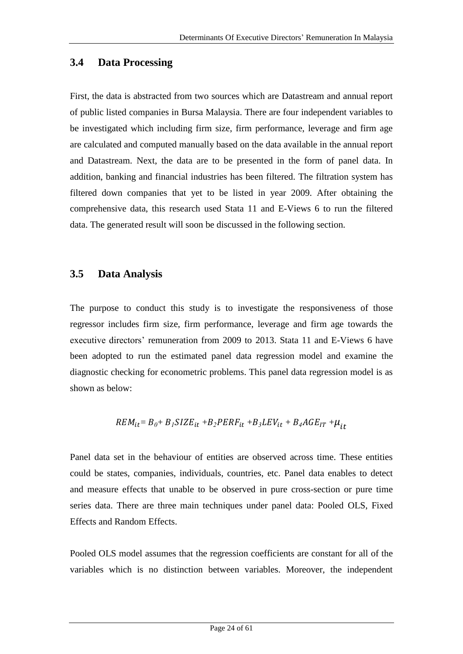#### **3.4 Data Processing**

First, the data is abstracted from two sources which are Datastream and annual report of public listed companies in Bursa Malaysia. There are four independent variables to be investigated which including firm size, firm performance, leverage and firm age are calculated and computed manually based on the data available in the annual report and Datastream. Next, the data are to be presented in the form of panel data. In addition, banking and financial industries has been filtered. The filtration system has filtered down companies that yet to be listed in year 2009. After obtaining the comprehensive data, this research used Stata 11 and E-Views 6 to run the filtered data. The generated result will soon be discussed in the following section.

#### **3.5 Data Analysis**

The purpose to conduct this study is to investigate the responsiveness of those regressor includes firm size, firm performance, leverage and firm age towards the executive directors' remuneration from 2009 to 2013. Stata 11 and E-Views 6 have been adopted to run the estimated panel data regression model and examine the diagnostic checking for econometric problems. This panel data regression model is as shown as below:

$$
REM_{it} = B_0 + B_1 SIZE_{it} + B_2 PERF_{it} + B_3 LEV_{it} + B_4 AGE_{IT} + \mu_{it}
$$

Panel data set in the behaviour of entities are observed across time. These entities could be states, companies, individuals, countries, etc. Panel data enables to detect and measure effects that unable to be observed in pure cross-section or pure time series data. There are three main techniques under panel data: Pooled OLS, Fixed Effects and Random Effects.

Pooled OLS model assumes that the regression coefficients are constant for all of the variables which is no distinction between variables. Moreover, the independent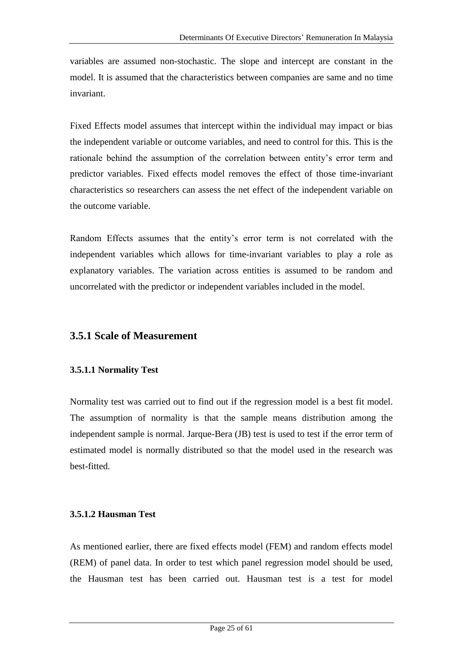variables are assumed non-stochastic. The slope and intercept are constant in the model. It is assumed that the characteristics between companies are same and no time invariant.

Fixed Effects model assumes that intercept within the individual may impact or bias the independent variable or outcome variables, and need to control for this. This is the rationale behind the assumption of the correlation between entity's error term and predictor variables. Fixed effects model removes the effect of those time-invariant characteristics so researchers can assess the net effect of the independent variable on the outcome variable.

Random Effects assumes that the entity's error term is not correlated with the independent variables which allows for time-invariant variables to play a role as explanatory variables. The variation across entities is assumed to be random and uncorrelated with the predictor or independent variables included in the model.

### **3.5.1 Scale of Measurement**

#### **3.5.1.1 Normality Test**

Normality test was carried out to find out if the regression model is a best fit model. The assumption of normality is that the sample means distribution among the independent sample is normal. Jarque-Bera (JB) test is used to test if the error term of estimated model is normally distributed so that the model used in the research was best-fitted.

#### **3.5.1.2 Hausman Test**

As mentioned earlier, there are fixed effects model (FEM) and random effects model (REM) of panel data. In order to test which panel regression model should be used, the Hausman test has been carried out. Hausman test is a test for model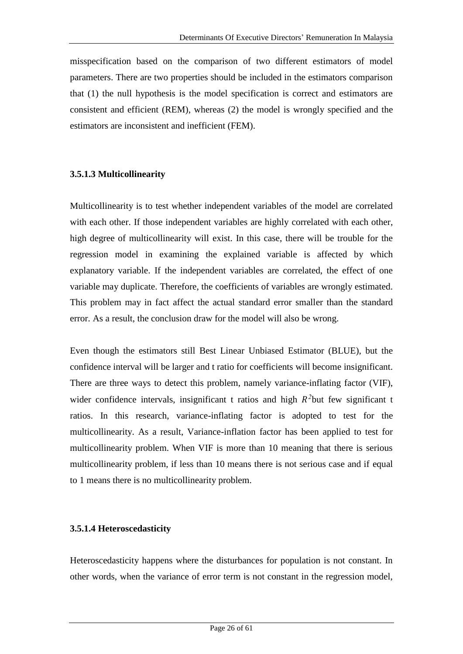misspecification based on the comparison of two different estimators of model parameters. There are two properties should be included in the estimators comparison that (1) the null hypothesis is the model specification is correct and estimators are consistent and efficient (REM), whereas (2) the model is wrongly specified and the estimators are inconsistent and inefficient (FEM).

#### **3.5.1.3 Multicollinearity**

Multicollinearity is to test whether independent variables of the model are correlated with each other. If those independent variables are highly correlated with each other, high degree of multicollinearity will exist. In this case, there will be trouble for the regression model in examining the explained variable is affected by which explanatory variable. If the independent variables are correlated, the effect of one variable may duplicate. Therefore, the coefficients of variables are wrongly estimated. This problem may in fact affect the actual standard error smaller than the standard error. As a result, the conclusion draw for the model will also be wrong.

Even though the estimators still Best Linear Unbiased Estimator (BLUE), but the confidence interval will be larger and t ratio for coefficients will become insignificant. There are three ways to detect this problem, namely variance-inflating factor (VIF), wider confidence intervals, insignificant  $t$  ratios and high  $R^2$ but few significant  $t$ ratios. In this research, variance-inflating factor is adopted to test for the multicollinearity. As a result, Variance-inflation factor has been applied to test for multicollinearity problem. When VIF is more than 10 meaning that there is serious multicollinearity problem, if less than 10 means there is not serious case and if equal to 1 means there is no multicollinearity problem.

#### **3.5.1.4 Heteroscedasticity**

Heteroscedasticity happens where the disturbances for population is not constant. In other words, when the variance of error term is not constant in the regression model,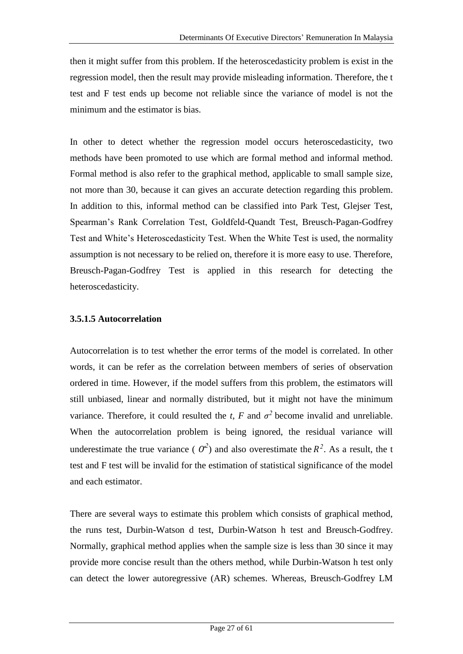then it might suffer from this problem. If the heteroscedasticity problem is exist in the regression model, then the result may provide misleading information. Therefore, the t test and F test ends up become not reliable since the variance of model is not the minimum and the estimator is bias.

In other to detect whether the regression model occurs heteroscedasticity, two methods have been promoted to use which are formal method and informal method. Formal method is also refer to the graphical method, applicable to small sample size, not more than 30, because it can gives an accurate detection regarding this problem. In addition to this, informal method can be classified into Park Test, Glejser Test, Spearman's Rank Correlation Test, Goldfeld-Quandt Test, Breusch-Pagan-Godfrey Test and White's Heteroscedasticity Test. When the White Test is used, the normality assumption is not necessary to be relied on, therefore it is more easy to use. Therefore, Breusch-Pagan-Godfrey Test is applied in this research for detecting the heteroscedasticity.

#### **3.5.1.5 Autocorrelation**

Autocorrelation is to test whether the error terms of the model is correlated. In other words, it can be refer as the correlation between members of series of observation ordered in time. However, if the model suffers from this problem, the estimators will still unbiased, linear and normally distributed, but it might not have the minimum variance. Therefore, it could resulted the *t*, *F* and  $\sigma^2$  become invalid and unreliable. When the autocorrelation problem is being ignored, the residual variance will underestimate the true variance ( $O^2$ ) and also overestimate the  $R^2$ . As a result, the t test and F test will be invalid for the estimation of statistical significance of the model and each estimator.

There are several ways to estimate this problem which consists of graphical method, the runs test, Durbin-Watson d test, Durbin-Watson h test and Breusch-Godfrey. Normally, graphical method applies when the sample size is less than 30 since it may provide more concise result than the others method, while Durbin-Watson h test only can detect the lower autoregressive (AR) schemes. Whereas, Breusch-Godfrey LM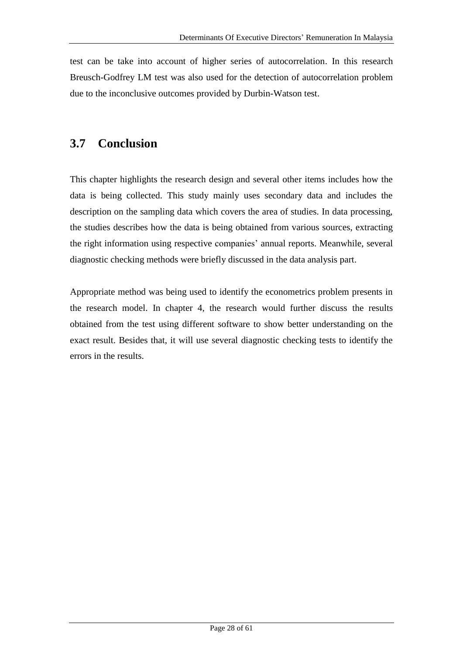test can be take into account of higher series of autocorrelation. In this research Breusch-Godfrey LM test was also used for the detection of autocorrelation problem due to the inconclusive outcomes provided by Durbin-Watson test.

## **3.7 Conclusion**

This chapter highlights the research design and several other items includes how the data is being collected. This study mainly uses secondary data and includes the description on the sampling data which covers the area of studies. In data processing, the studies describes how the data is being obtained from various sources, extracting the right information using respective companies' annual reports. Meanwhile, several diagnostic checking methods were briefly discussed in the data analysis part.

Appropriate method was being used to identify the econometrics problem presents in the research model. In chapter 4, the research would further discuss the results obtained from the test using different software to show better understanding on the exact result. Besides that, it will use several diagnostic checking tests to identify the errors in the results.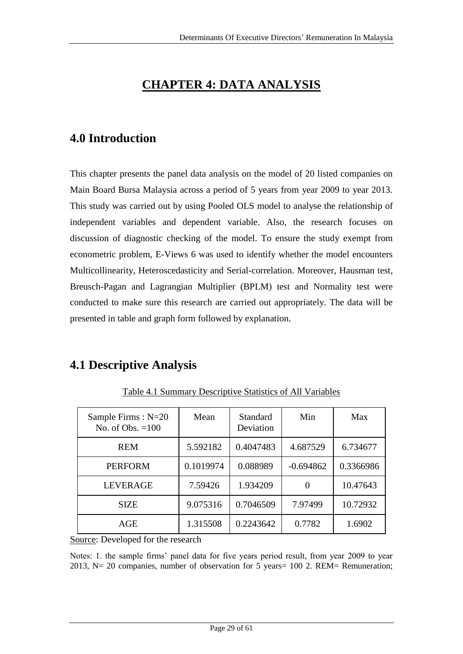## **CHAPTER 4: DATA ANALYSIS**

## **4.0 Introduction**

This chapter presents the panel data analysis on the model of 20 listed companies on Main Board Bursa Malaysia across a period of 5 years from year 2009 to year 2013. This study was carried out by using Pooled OLS model to analyse the relationship of independent variables and dependent variable. Also, the research focuses on discussion of diagnostic checking of the model. To ensure the study exempt from econometric problem, E-Views 6 was used to identify whether the model encounters Multicollinearity, Heteroscedasticity and Serial-correlation. Moreover, Hausman test, Breusch-Pagan and Lagrangian Multiplier (BPLM) test and Normality test were conducted to make sure this research are carried out appropriately. The data will be presented in table and graph form followed by explanation.

## **4.1 Descriptive Analysis**

| Sample Firms: N=20<br>No. of Obs. $=100$ | Mean      | <b>Standard</b><br>Deviation | Min         | Max       |
|------------------------------------------|-----------|------------------------------|-------------|-----------|
| <b>REM</b>                               | 5.592182  | 0.4047483                    | 4.687529    | 6.734677  |
| <b>PERFORM</b>                           | 0.1019974 | 0.088989                     | $-0.694862$ | 0.3366986 |
| <b>LEVERAGE</b>                          | 7.59426   | 1.934209                     |             | 10.47643  |
| <b>SIZE</b>                              | 9.075316  | 0.7046509                    | 7.97499     | 10.72932  |
| AGE                                      | 1.315508  | 0.2243642                    | 0.7782      | 1.6902    |

Table 4.1 Summary Descriptive Statistics of All Variables

Source: Developed for the research

Notes: 1. the sample firms' panel data for five years period result, from year 2009 to year 2013, N= 20 companies, number of observation for 5 years= 100 2. REM= Remuneration;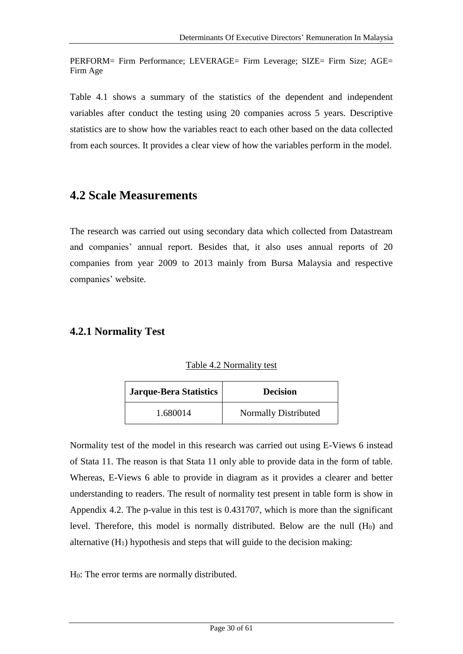PERFORM= Firm Performance; LEVERAGE= Firm Leverage; SIZE= Firm Size; AGE= Firm Age

Table 4.1 shows a summary of the statistics of the dependent and independent variables after conduct the testing using 20 companies across 5 years. Descriptive statistics are to show how the variables react to each other based on the data collected from each sources. It provides a clear view of how the variables perform in the model.

### **4.2 Scale Measurements**

The research was carried out using secondary data which collected from Datastream and companies' annual report. Besides that, it also uses annual reports of 20 companies from year 2009 to 2013 mainly from Bursa Malaysia and respective companies' website.

### **4.2.1 Normality Test**

|  | Table 4.2 Normality test |  |
|--|--------------------------|--|
|  |                          |  |

| <b>Jarque-Bera Statistics</b> | <b>Decision</b>             |
|-------------------------------|-----------------------------|
| 1.680014                      | <b>Normally Distributed</b> |

Normality test of the model in this research was carried out using E-Views 6 instead of Stata 11. The reason is that Stata 11 only able to provide data in the form of table. Whereas, E-Views 6 able to provide in diagram as it provides a clearer and better understanding to readers. The result of normality test present in table form is show in Appendix 4.2. The p-value in this test is 0.431707, which is more than the significant level. Therefore, this model is normally distributed. Below are the null  $(H<sub>0</sub>)$  and alternative  $(H_1)$  hypothesis and steps that will guide to the decision making:

H0: The error terms are normally distributed.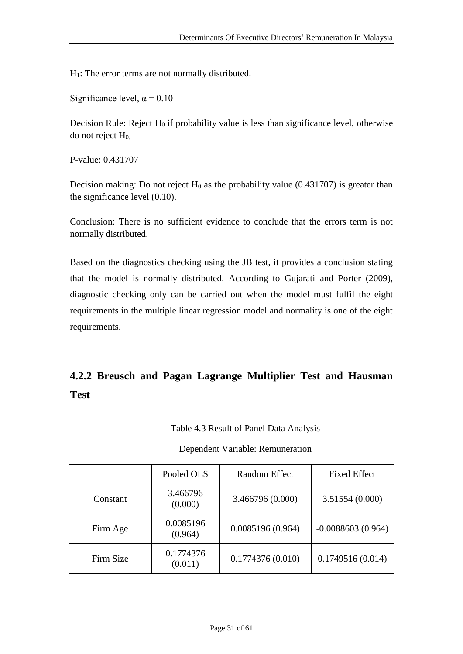H1: The error terms are not normally distributed.

Significance level,  $\alpha$  = 0.10

Decision Rule: Reject  $H_0$  if probability value is less than significance level, otherwise do not reject H0.

P-value: 0.431707

Decision making: Do not reject  $H_0$  as the probability value (0.431707) is greater than the significance level (0.10).

Conclusion: There is no sufficient evidence to conclude that the errors term is not normally distributed.

Based on the diagnostics checking using the JB test, it provides a conclusion stating that the model is normally distributed. According to Gujarati and Porter (2009), diagnostic checking only can be carried out when the model must fulfil the eight requirements in the multiple linear regression model and normality is one of the eight requirements.

## **4.2.2 Breusch and Pagan Lagrange Multiplier Test and Hausman Test**

#### Table 4.3 Result of Panel Data Analysis

#### Dependent Variable: Remuneration

|           | Pooled OLS           | Random Effect    | <b>Fixed Effect</b> |
|-----------|----------------------|------------------|---------------------|
| Constant  | 3.466796<br>(0.000)  | 3.466796 (0.000) | 3.51554 (0.000)     |
| Firm Age  | 0.0085196<br>(0.964) | 0.0085196(0.964) | $-0.0088603(0.964)$ |
| Firm Size | 0.1774376<br>(0.011) | 0.1774376(0.010) | 0.1749516(0.014)    |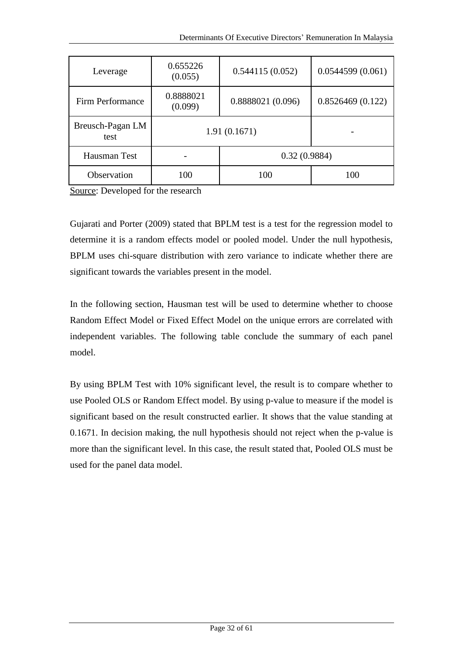| Leverage                 | 0.655226<br>(0.055)  | 0.544115(0.052)   | 0.0544599(0.061) |
|--------------------------|----------------------|-------------------|------------------|
| Firm Performance         | 0.8888021<br>(0.099) | 0.8888021 (0.096) | 0.8526469(0.122) |
| Breusch-Pagan LM<br>test | 1.91(0.1671)         |                   |                  |
| Hausman Test             | 0.32(0.9884)         |                   |                  |
| Observation              | 100<br>100           |                   | 100              |

Source: Developed for the research

Gujarati and Porter (2009) stated that BPLM test is a test for the regression model to determine it is a random effects model or pooled model. Under the null hypothesis, BPLM uses chi-square distribution with zero variance to indicate whether there are significant towards the variables present in the model.

In the following section, Hausman test will be used to determine whether to choose Random Effect Model or Fixed Effect Model on the unique errors are correlated with independent variables. The following table conclude the summary of each panel model.

By using BPLM Test with 10% significant level, the result is to compare whether to use Pooled OLS or Random Effect model. By using p-value to measure if the model is significant based on the result constructed earlier. It shows that the value standing at 0.1671. In decision making, the null hypothesis should not reject when the p-value is more than the significant level. In this case, the result stated that, Pooled OLS must be used for the panel data model.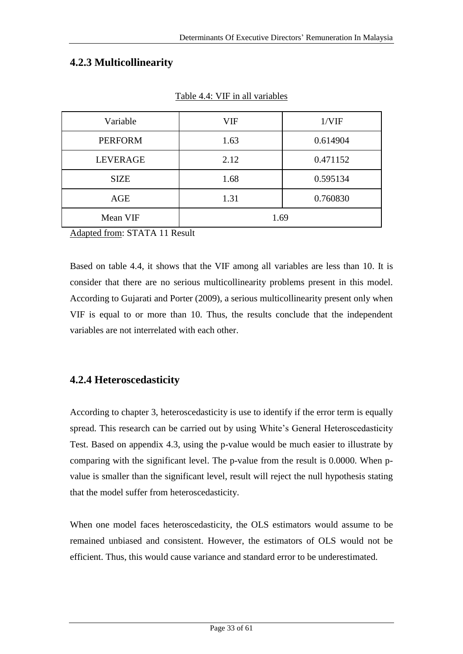### **4.2.3 Multicollinearity**

| Variable        | VIF  | 1/VIF    |
|-----------------|------|----------|
| <b>PERFORM</b>  | 1.63 | 0.614904 |
| <b>LEVERAGE</b> | 2.12 | 0.471152 |
| <b>SIZE</b>     | 1.68 | 0.595134 |
| AGE             | 1.31 | 0.760830 |
| Mean VIF        | 1.69 |          |

Table 4.4: VIF in all variables

Adapted from: STATA 11 Result

Based on table 4.4, it shows that the VIF among all variables are less than 10. It is consider that there are no serious multicollinearity problems present in this model. According to Gujarati and Porter (2009), a serious multicollinearity present only when VIF is equal to or more than 10. Thus, the results conclude that the independent variables are not interrelated with each other.

#### **4.2.4 Heteroscedasticity**

According to chapter 3, heteroscedasticity is use to identify if the error term is equally spread. This research can be carried out by using White's General Heteroscedasticity Test. Based on appendix 4.3, using the p-value would be much easier to illustrate by comparing with the significant level. The p-value from the result is 0.0000. When pvalue is smaller than the significant level, result will reject the null hypothesis stating that the model suffer from heteroscedasticity.

When one model faces heteroscedasticity, the OLS estimators would assume to be remained unbiased and consistent. However, the estimators of OLS would not be efficient. Thus, this would cause variance and standard error to be underestimated.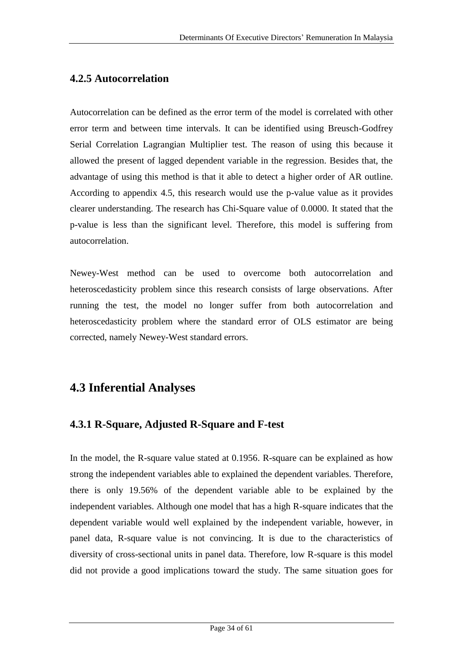### **4.2.5 Autocorrelation**

Autocorrelation can be defined as the error term of the model is correlated with other error term and between time intervals. It can be identified using Breusch-Godfrey Serial Correlation Lagrangian Multiplier test. The reason of using this because it allowed the present of lagged dependent variable in the regression. Besides that, the advantage of using this method is that it able to detect a higher order of AR outline. According to appendix 4.5, this research would use the p-value value as it provides clearer understanding. The research has Chi-Square value of 0.0000. It stated that the p-value is less than the significant level. Therefore, this model is suffering from autocorrelation.

Newey-West method can be used to overcome both autocorrelation and heteroscedasticity problem since this research consists of large observations. After running the test, the model no longer suffer from both autocorrelation and heteroscedasticity problem where the standard error of OLS estimator are being corrected, namely Newey-West standard errors.

## **4.3 Inferential Analyses**

### **4.3.1 R-Square, Adjusted R-Square and F-test**

In the model, the R-square value stated at 0.1956. R-square can be explained as how strong the independent variables able to explained the dependent variables. Therefore, there is only 19.56% of the dependent variable able to be explained by the independent variables. Although one model that has a high R-square indicates that the dependent variable would well explained by the independent variable, however, in panel data, R-square value is not convincing. It is due to the characteristics of diversity of cross-sectional units in panel data. Therefore, low R-square is this model did not provide a good implications toward the study. The same situation goes for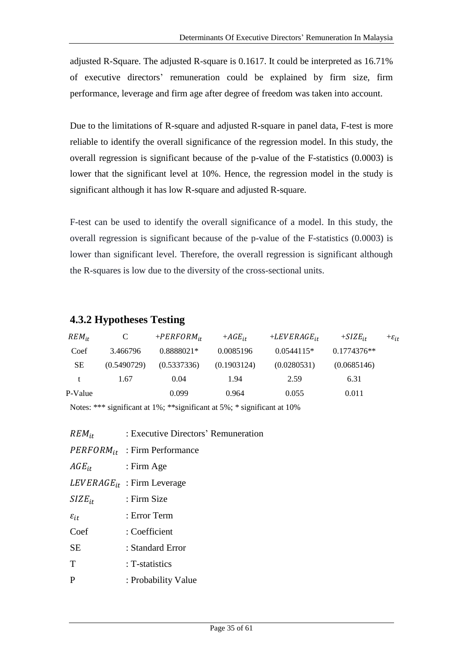adjusted R-Square. The adjusted R-square is 0.1617. It could be interpreted as 16.71% of executive directors' remuneration could be explained by firm size, firm performance, leverage and firm age after degree of freedom was taken into account.

Due to the limitations of R-square and adjusted R-square in panel data, F-test is more reliable to identify the overall significance of the regression model. In this study, the overall regression is significant because of the p-value of the F-statistics (0.0003) is lower that the significant level at 10%. Hence, the regression model in the study is significant although it has low R-square and adjusted R-square.

F-test can be used to identify the overall significance of a model. In this study, the overall regression is significant because of the p-value of the F-statistics (0.0003) is lower than significant level. Therefore, the overall regression is significant although the R-squares is low due to the diversity of the cross-sectional units.

#### **4.3.2 Hypotheses Testing**

| $REM_{it}$ | C           | $+PERFORM_{it}$ | $+ AGE_{it}$ | $+LEVERAGE_{ir}$ | $+SIZE_{it}$  | $+\varepsilon_{it}$ |
|------------|-------------|-----------------|--------------|------------------|---------------|---------------------|
| Coef       | 3.466796    | 0.8888021*      | 0.0085196    | $0.0544115*$     | $0.1774376**$ |                     |
| <b>SE</b>  | (0.5490729) | (0.5337336)     | (0.1903124)  | (0.0280531)      | (0.0685146)   |                     |
| t.         | 1.67        | 0.04            | 1.94         | 2.59             | 6.31          |                     |
| P-Value    |             | 0.099           | 0.964        | 0.055            | 0.011         |                     |

Notes: \*\*\* significant at 1%; \*\*significant at 5%; \* significant at 10%

| $REM_{it}$         | : Executive Directors' Remuneration |
|--------------------|-------------------------------------|
|                    | $PERFORM_{it}$ : Firm Performance   |
| $AGE_{it}$         | $:$ Firm Age                        |
|                    | $LEVERAGE_{it}$ : Firm Leverage     |
| $SIZE_{it}$        | : Firm Size                         |
| $\varepsilon_{it}$ | : Error Term                        |
| Coef               | : Coefficient                       |
| <b>SE</b>          | : Standard Error                    |
| T                  | : T-statistics                      |

P : Probability Value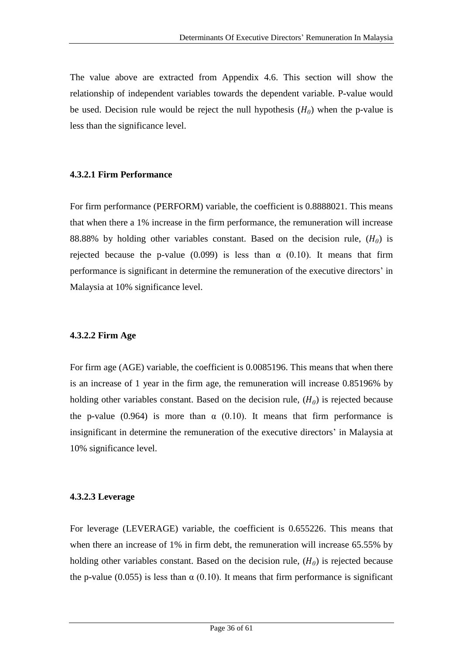The value above are extracted from Appendix 4.6. This section will show the relationship of independent variables towards the dependent variable. P-value would be used. Decision rule would be reject the null hypothesis  $(H_0)$  when the p-value is less than the significance level.

#### **4.3.2.1 Firm Performance**

For firm performance (PERFORM) variable, the coefficient is 0.8888021. This means that when there a 1% increase in the firm performance, the remuneration will increase 88.88% by holding other variables constant. Based on the decision rule,  $(H_0)$  is rejected because the p-value (0.099) is less than  $\alpha$  (0.10). It means that firm performance is significant in determine the remuneration of the executive directors' in Malaysia at 10% significance level.

#### **4.3.2.2 Firm Age**

For firm age (AGE) variable, the coefficient is 0.0085196. This means that when there is an increase of 1 year in the firm age, the remuneration will increase 0.85196% by holding other variables constant. Based on the decision rule,  $(H_0)$  is rejected because the p-value (0.964) is more than  $\alpha$  (0.10). It means that firm performance is insignificant in determine the remuneration of the executive directors' in Malaysia at 10% significance level.

#### **4.3.2.3 Leverage**

For leverage (LEVERAGE) variable, the coefficient is 0.655226. This means that when there an increase of 1% in firm debt, the remuneration will increase 65.55% by holding other variables constant. Based on the decision rule,  $(H_0)$  is rejected because the p-value (0.055) is less than  $\alpha$  (0.10). It means that firm performance is significant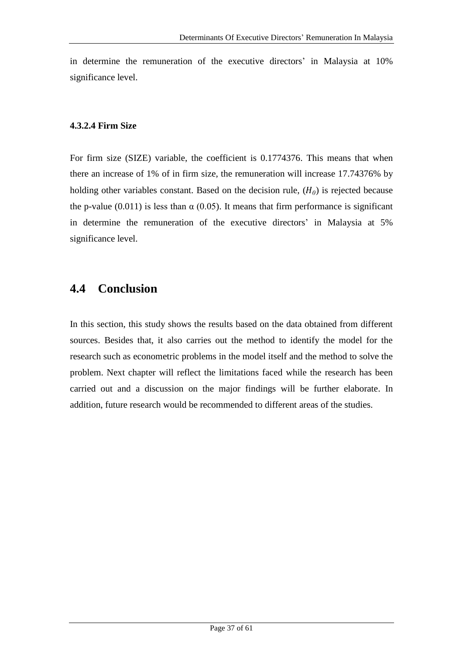in determine the remuneration of the executive directors' in Malaysia at 10% significance level.

#### **4.3.2.4 Firm Size**

For firm size (SIZE) variable, the coefficient is 0.1774376. This means that when there an increase of 1% of in firm size, the remuneration will increase 17.74376% by holding other variables constant. Based on the decision rule,  $(H_0)$  is rejected because the p-value (0.011) is less than  $\alpha$  (0.05). It means that firm performance is significant in determine the remuneration of the executive directors' in Malaysia at 5% significance level.

## **4.4 Conclusion**

In this section, this study shows the results based on the data obtained from different sources. Besides that, it also carries out the method to identify the model for the research such as econometric problems in the model itself and the method to solve the problem. Next chapter will reflect the limitations faced while the research has been carried out and a discussion on the major findings will be further elaborate. In addition, future research would be recommended to different areas of the studies.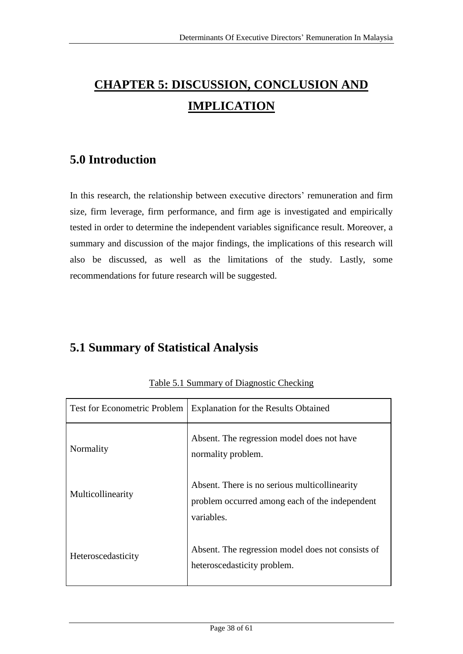# **CHAPTER 5: DISCUSSION, CONCLUSION AND IMPLICATION**

## **5.0 Introduction**

In this research, the relationship between executive directors' remuneration and firm size, firm leverage, firm performance, and firm age is investigated and empirically tested in order to determine the independent variables significance result. Moreover, a summary and discussion of the major findings, the implications of this research will also be discussed, as well as the limitations of the study. Lastly, some recommendations for future research will be suggested.

## **5.1 Summary of Statistical Analysis**

| <b>Test for Econometric Problem</b> | <b>Explanation for the Results Obtained</b>                                                                   |
|-------------------------------------|---------------------------------------------------------------------------------------------------------------|
| Normality                           | Absent. The regression model does not have<br>normality problem.                                              |
| Multicollinearity                   | Absent. There is no serious multicollinearity<br>problem occurred among each of the independent<br>variables. |
| Heteroscedasticity                  | Absent. The regression model does not consists of<br>heteroscedasticity problem.                              |

Table 5.1 Summary of Diagnostic Checking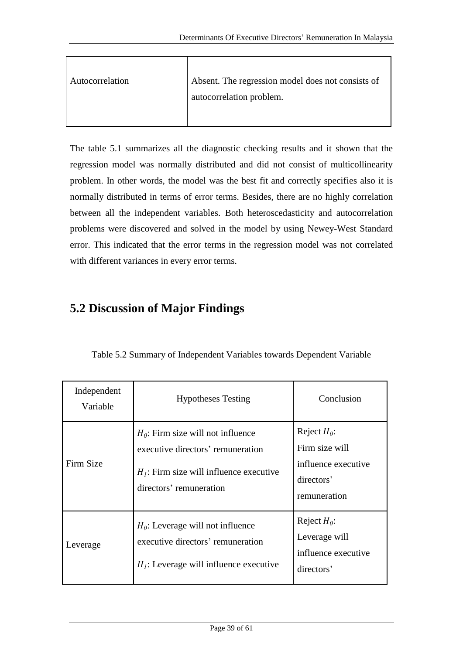| Autocorrelation | Absent. The regression model does not consists of |
|-----------------|---------------------------------------------------|
|                 | autocorrelation problem.                          |
|                 |                                                   |

The table 5.1 summarizes all the diagnostic checking results and it shown that the regression model was normally distributed and did not consist of multicollinearity problem. In other words, the model was the best fit and correctly specifies also it is normally distributed in terms of error terms. Besides, there are no highly correlation between all the independent variables. Both heteroscedasticity and autocorrelation problems were discovered and solved in the model by using Newey-West Standard error. This indicated that the error terms in the regression model was not correlated with different variances in every error terms.

## **5.2 Discussion of Major Findings**

| Independent<br>Variable | <b>Hypotheses Testing</b>                                                                                                                         | Conclusion                                                                            |
|-------------------------|---------------------------------------------------------------------------------------------------------------------------------------------------|---------------------------------------------------------------------------------------|
| Firm Size               | $H_0$ : Firm size will not influence<br>executive directors' remuneration<br>$Hl$ : Firm size will influence executive<br>directors' remuneration | Reject $H_0$ :<br>Firm size will<br>influence executive<br>directors'<br>remuneration |
| Leverage                | $H_0$ : Leverage will not influence<br>executive directors' remuneration<br>$H1$ : Leverage will influence executive                              | Reject $H_0$ :<br>Leverage will<br>influence executive<br>directors'                  |

Table 5.2 Summary of Independent Variables towards Dependent Variable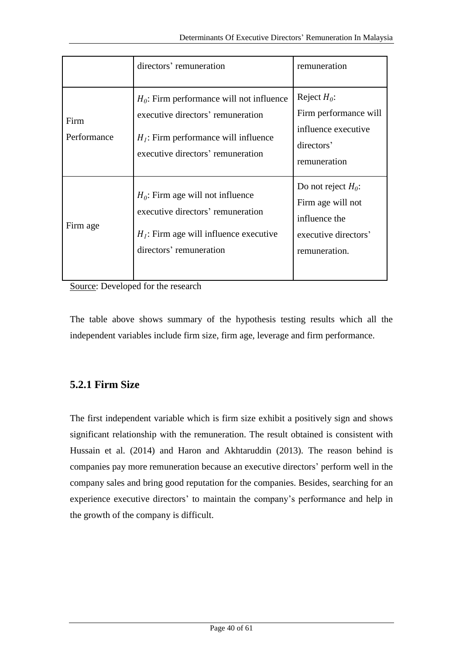|                     | directors' remuneration                                                                                                                                         | remuneration                                                                                         |
|---------------------|-----------------------------------------------------------------------------------------------------------------------------------------------------------------|------------------------------------------------------------------------------------------------------|
| Firm<br>Performance | $H_0$ : Firm performance will not influence<br>executive directors' remuneration<br>$H1$ : Firm performance will influence<br>executive directors' remuneration | Reject $H_0$ :<br>Firm performance will<br>influence executive<br>directors'<br>remuneration         |
| Firm age            | $H_0$ : Firm age will not influence<br>executive directors' remuneration<br>$H1$ : Firm age will influence executive<br>directors' remuneration                 | Do not reject $H_0$ :<br>Firm age will not<br>influence the<br>executive directors'<br>remuneration. |

Source: Developed for the research

The table above shows summary of the hypothesis testing results which all the independent variables include firm size, firm age, leverage and firm performance.

### **5.2.1 Firm Size**

The first independent variable which is firm size exhibit a positively sign and shows significant relationship with the remuneration. The result obtained is consistent with Hussain et al. (2014) and Haron and Akhtaruddin (2013). The reason behind is companies pay more remuneration because an executive directors' perform well in the company sales and bring good reputation for the companies. Besides, searching for an experience executive directors' to maintain the company's performance and help in the growth of the company is difficult.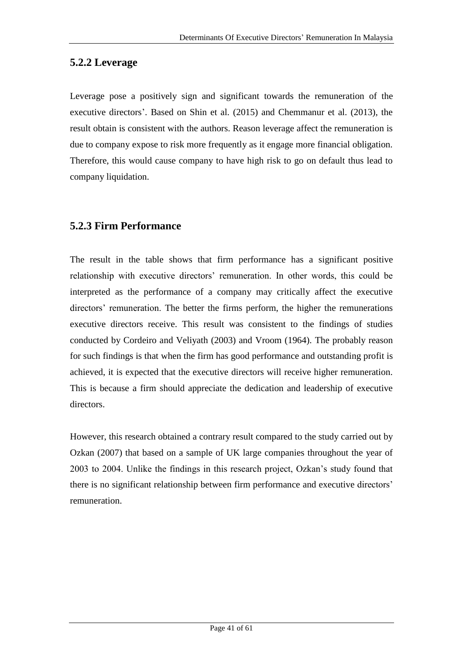### **5.2.2 Leverage**

Leverage pose a positively sign and significant towards the remuneration of the executive directors'. Based on Shin et al. (2015) and Chemmanur et al. (2013), the result obtain is consistent with the authors. Reason leverage affect the remuneration is due to company expose to risk more frequently as it engage more financial obligation. Therefore, this would cause company to have high risk to go on default thus lead to company liquidation.

### **5.2.3 Firm Performance**

The result in the table shows that firm performance has a significant positive relationship with executive directors' remuneration. In other words, this could be interpreted as the performance of a company may critically affect the executive directors' remuneration. The better the firms perform, the higher the remunerations executive directors receive. This result was consistent to the findings of studies conducted by Cordeiro and Veliyath (2003) and Vroom (1964). The probably reason for such findings is that when the firm has good performance and outstanding profit is achieved, it is expected that the executive directors will receive higher remuneration. This is because a firm should appreciate the dedication and leadership of executive directors.

However, this research obtained a contrary result compared to the study carried out by Ozkan (2007) that based on a sample of UK large companies throughout the year of 2003 to 2004. Unlike the findings in this research project, Ozkan's study found that there is no significant relationship between firm performance and executive directors' remuneration.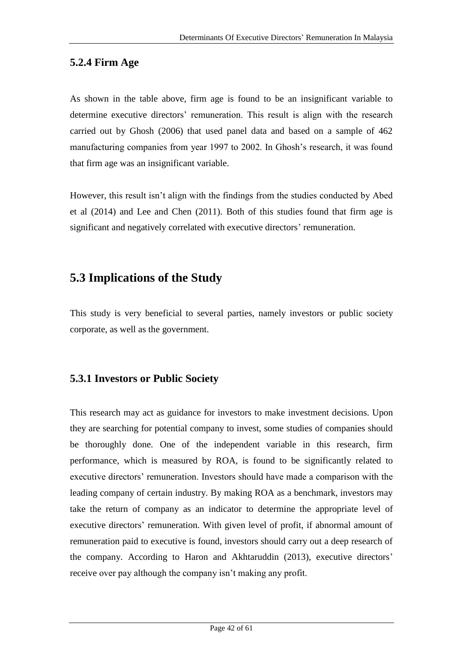### **5.2.4 Firm Age**

As shown in the table above, firm age is found to be an insignificant variable to determine executive directors' remuneration. This result is align with the research carried out by Ghosh (2006) that used panel data and based on a sample of 462 manufacturing companies from year 1997 to 2002. In Ghosh's research, it was found that firm age was an insignificant variable.

However, this result isn't align with the findings from the studies conducted by Abed et al (2014) and Lee and Chen (2011). Both of this studies found that firm age is significant and negatively correlated with executive directors' remuneration.

## **5.3 Implications of the Study**

This study is very beneficial to several parties, namely investors or public society corporate, as well as the government.

### **5.3.1 Investors or Public Society**

This research may act as guidance for investors to make investment decisions. Upon they are searching for potential company to invest, some studies of companies should be thoroughly done. One of the independent variable in this research, firm performance, which is measured by ROA, is found to be significantly related to executive directors' remuneration. Investors should have made a comparison with the leading company of certain industry. By making ROA as a benchmark, investors may take the return of company as an indicator to determine the appropriate level of executive directors' remuneration. With given level of profit, if abnormal amount of remuneration paid to executive is found, investors should carry out a deep research of the company. According to Haron and Akhtaruddin (2013), executive directors' receive over pay although the company isn't making any profit.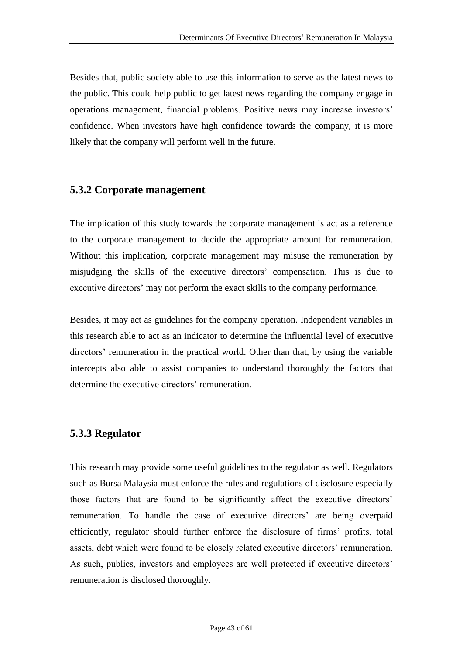Besides that, public society able to use this information to serve as the latest news to the public. This could help public to get latest news regarding the company engage in operations management, financial problems. Positive news may increase investors' confidence. When investors have high confidence towards the company, it is more likely that the company will perform well in the future.

#### **5.3.2 Corporate management**

The implication of this study towards the corporate management is act as a reference to the corporate management to decide the appropriate amount for remuneration. Without this implication, corporate management may misuse the remuneration by misjudging the skills of the executive directors' compensation. This is due to executive directors' may not perform the exact skills to the company performance.

Besides, it may act as guidelines for the company operation. Independent variables in this research able to act as an indicator to determine the influential level of executive directors' remuneration in the practical world. Other than that, by using the variable intercepts also able to assist companies to understand thoroughly the factors that determine the executive directors' remuneration.

#### **5.3.3 Regulator**

This research may provide some useful guidelines to the regulator as well. Regulators such as Bursa Malaysia must enforce the rules and regulations of disclosure especially those factors that are found to be significantly affect the executive directors' remuneration. To handle the case of executive directors' are being overpaid efficiently, regulator should further enforce the disclosure of firms' profits, total assets, debt which were found to be closely related executive directors' remuneration. As such, publics, investors and employees are well protected if executive directors' remuneration is disclosed thoroughly.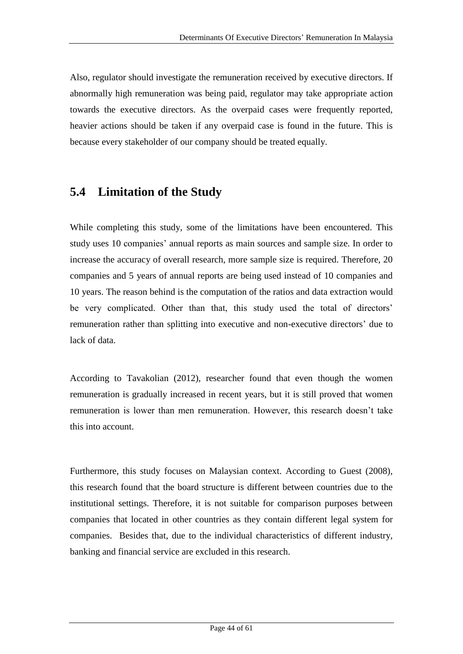Also, regulator should investigate the remuneration received by executive directors. If abnormally high remuneration was being paid, regulator may take appropriate action towards the executive directors. As the overpaid cases were frequently reported, heavier actions should be taken if any overpaid case is found in the future. This is because every stakeholder of our company should be treated equally.

## **5.4 Limitation of the Study**

While completing this study, some of the limitations have been encountered. This study uses 10 companies' annual reports as main sources and sample size. In order to increase the accuracy of overall research, more sample size is required. Therefore, 20 companies and 5 years of annual reports are being used instead of 10 companies and 10 years. The reason behind is the computation of the ratios and data extraction would be very complicated. Other than that, this study used the total of directors' remuneration rather than splitting into executive and non-executive directors' due to lack of data.

According to Tavakolian (2012), researcher found that even though the women remuneration is gradually increased in recent years, but it is still proved that women remuneration is lower than men remuneration. However, this research doesn't take this into account.

Furthermore, this study focuses on Malaysian context. According to Guest (2008), this research found that the board structure is different between countries due to the institutional settings. Therefore, it is not suitable for comparison purposes between companies that located in other countries as they contain different legal system for companies. Besides that, due to the individual characteristics of different industry, banking and financial service are excluded in this research.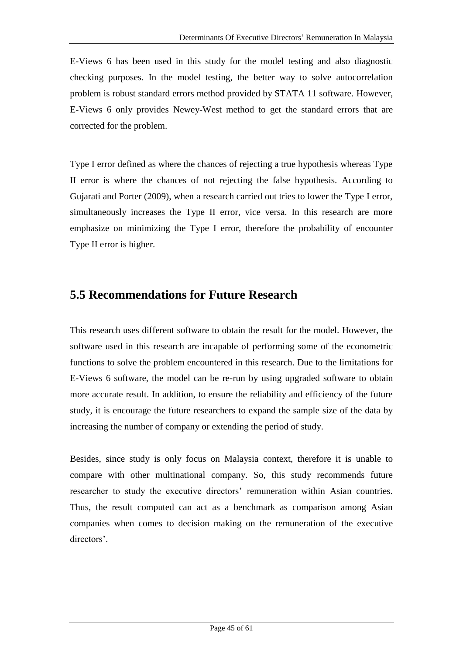E-Views 6 has been used in this study for the model testing and also diagnostic checking purposes. In the model testing, the better way to solve autocorrelation problem is robust standard errors method provided by STATA 11 software. However, E-Views 6 only provides Newey-West method to get the standard errors that are corrected for the problem.

Type I error defined as where the chances of rejecting a true hypothesis whereas Type II error is where the chances of not rejecting the false hypothesis. According to Gujarati and Porter (2009), when a research carried out tries to lower the Type I error, simultaneously increases the Type II error, vice versa. In this research are more emphasize on minimizing the Type I error, therefore the probability of encounter Type II error is higher.

## **5.5 Recommendations for Future Research**

This research uses different software to obtain the result for the model. However, the software used in this research are incapable of performing some of the econometric functions to solve the problem encountered in this research. Due to the limitations for E-Views 6 software, the model can be re-run by using upgraded software to obtain more accurate result. In addition, to ensure the reliability and efficiency of the future study, it is encourage the future researchers to expand the sample size of the data by increasing the number of company or extending the period of study.

Besides, since study is only focus on Malaysia context, therefore it is unable to compare with other multinational company. So, this study recommends future researcher to study the executive directors' remuneration within Asian countries. Thus, the result computed can act as a benchmark as comparison among Asian companies when comes to decision making on the remuneration of the executive directors'.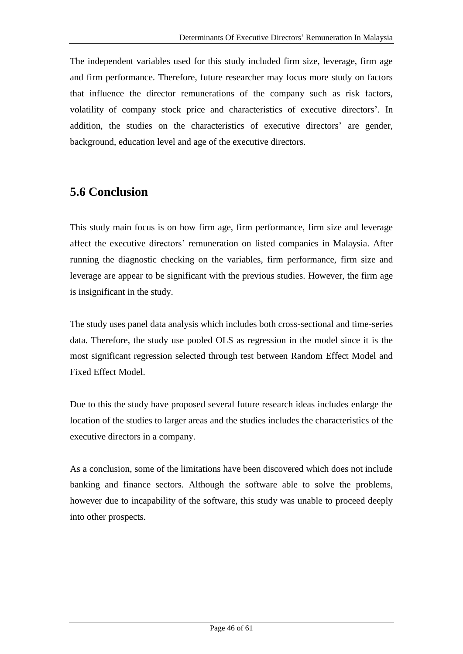The independent variables used for this study included firm size, leverage, firm age and firm performance. Therefore, future researcher may focus more study on factors that influence the director remunerations of the company such as risk factors, volatility of company stock price and characteristics of executive directors'. In addition, the studies on the characteristics of executive directors' are gender, background, education level and age of the executive directors.

## **5.6 Conclusion**

This study main focus is on how firm age, firm performance, firm size and leverage affect the executive directors' remuneration on listed companies in Malaysia. After running the diagnostic checking on the variables, firm performance, firm size and leverage are appear to be significant with the previous studies. However, the firm age is insignificant in the study.

The study uses panel data analysis which includes both cross-sectional and time-series data. Therefore, the study use pooled OLS as regression in the model since it is the most significant regression selected through test between Random Effect Model and Fixed Effect Model.

Due to this the study have proposed several future research ideas includes enlarge the location of the studies to larger areas and the studies includes the characteristics of the executive directors in a company.

As a conclusion, some of the limitations have been discovered which does not include banking and finance sectors. Although the software able to solve the problems, however due to incapability of the software, this study was unable to proceed deeply into other prospects.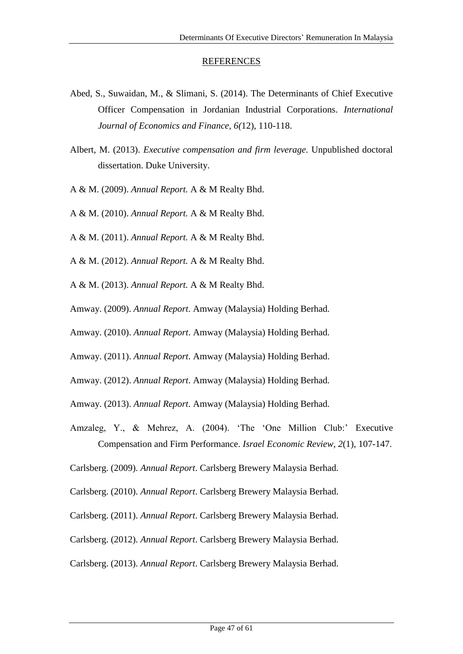#### REFERENCES

- Abed, S., Suwaidan, M., & Slimani, S. (2014). The Determinants of Chief Executive Officer Compensation in Jordanian Industrial Corporations. *International Journal of Economics and Finance, 6(*12), 110-118.
- Albert, M. (2013). *Executive compensation and firm leverage*. Unpublished doctoral dissertation. Duke University.
- A & M. (2009). *Annual Report.* A & M Realty Bhd.
- A & M. (2010). *Annual Report.* A & M Realty Bhd.
- A & M. (2011). *Annual Report.* A & M Realty Bhd.
- A & M. (2012). *Annual Report.* A & M Realty Bhd.
- A & M. (2013). *Annual Report.* A & M Realty Bhd.
- Amway. (2009). *Annual Report*. Amway (Malaysia) Holding Berhad.
- Amway. (2010). *Annual Report*. Amway (Malaysia) Holding Berhad.
- Amway. (2011). *Annual Report*. Amway (Malaysia) Holding Berhad.
- Amway. (2012). *Annual Report*. Amway (Malaysia) Holding Berhad.
- Amway. (2013). *Annual Report*. Amway (Malaysia) Holding Berhad.
- Amzaleg, Y., & Mehrez, A. (2004). 'The 'One Million Club:' Executive Compensation and Firm Performance. *Israel Economic Review*, *2*(1), 107-147.
- Carlsberg. (2009). *Annual Report*. Carlsberg Brewery Malaysia Berhad.
- Carlsberg. (2010). *Annual Report*. Carlsberg Brewery Malaysia Berhad.
- Carlsberg. (2011). *Annual Report*. Carlsberg Brewery Malaysia Berhad.
- Carlsberg. (2012). *Annual Report*. Carlsberg Brewery Malaysia Berhad.
- Carlsberg. (2013). *Annual Report*. Carlsberg Brewery Malaysia Berhad.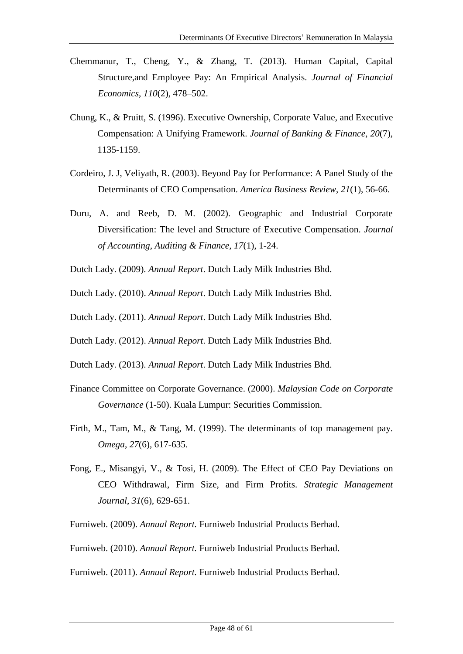- Chemmanur, T., Cheng, Y., & Zhang, T. (2013). Human Capital, Capital Structure,and Employee Pay: An Empirical Analysis. *Journal of Financial Economics*, *110*(2), 478–502.
- Chung, K., & Pruitt, S. (1996). Executive Ownership, Corporate Value, and Executive Compensation: A Unifying Framework. *Journal of Banking & Finance*, *20*(7), 1135-1159.
- Cordeiro, J. J, Veliyath, R. (2003). Beyond Pay for Performance: A Panel Study of the Determinants of CEO Compensation. *America Business Review*, *21*(1), 56-66.
- Duru, A. and Reeb, D. M. (2002). Geographic and Industrial Corporate Diversification: The level and Structure of Executive Compensation. *Journal of Accounting, Auditing & Finance, 17*(1), 1-24.
- Dutch Lady. (2009). *Annual Report*. Dutch Lady Milk Industries Bhd.
- Dutch Lady. (2010). *Annual Report*. Dutch Lady Milk Industries Bhd.
- Dutch Lady. (2011). *Annual Report*. Dutch Lady Milk Industries Bhd.
- Dutch Lady. (2012). *Annual Report*. Dutch Lady Milk Industries Bhd.
- Dutch Lady. (2013). *Annual Report*. Dutch Lady Milk Industries Bhd.
- Finance Committee on Corporate Governance. (2000). *Malaysian Code on Corporate Governance* (1-50). Kuala Lumpur: Securities Commission.
- Firth, M., Tam, M., & Tang, M. (1999). The determinants of top management pay. *Omega*, *27*(6), 617-635.
- Fong, E., Misangyi, V., & Tosi, H. (2009). The Effect of CEO Pay Deviations on CEO Withdrawal, Firm Size, and Firm Profits. *Strategic Management Journal*, *31*(6)*,* 629-651.
- Furniweb. (2009). *Annual Report.* Furniweb Industrial Products Berhad.
- Furniweb. (2010). *Annual Report.* Furniweb Industrial Products Berhad.
- Furniweb. (2011). *Annual Report.* Furniweb Industrial Products Berhad.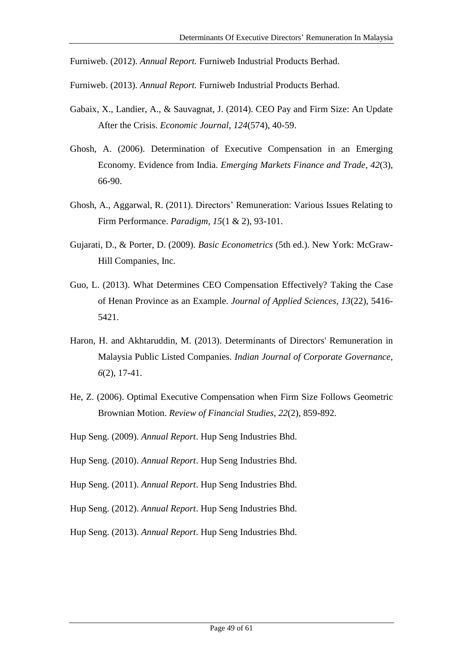Furniweb. (2012). *Annual Report.* Furniweb Industrial Products Berhad.

- Furniweb. (2013). *Annual Report.* Furniweb Industrial Products Berhad.
- Gabaix, X., Landier, A., & Sauvagnat, J. (2014). CEO Pay and Firm Size: An Update After the Crisis. *Economic Journal*, *124*(574), 40-59.
- Ghosh, A. (2006). Determination of Executive Compensation in an Emerging Economy. Evidence from India. *Emerging Markets Finance and Trade*, *42*(3), 66-90.
- Ghosh, A., Aggarwal, R. (2011). Directors' Remuneration: Various Issues Relating to Firm Performance. *Paradigm, 15*(1 & 2), 93-101.
- Gujarati, D., & Porter, D. (2009). *Basic Econometrics* (5th ed.). New York: McGraw-Hill Companies, Inc.
- Guo, L. (2013). What Determines CEO Compensation Effectively? Taking the Case of Henan Province as an Example. *Journal of Applied Sciences, 13*(22), 5416- 5421.
- Haron, H. and Akhtaruddin, M. (2013). Determinants of Directors' Remuneration in Malaysia Public Listed Companies. *Indian Journal of Corporate Governance*, *6*(2), 17-41.
- He, Z. (2006). Optimal Executive Compensation when Firm Size Follows Geometric Brownian Motion. *Review of Financial Studies*, *22*(2), 859-892.
- Hup Seng. (2009). *Annual Report*. Hup Seng Industries Bhd.
- Hup Seng. (2010). *Annual Report*. Hup Seng Industries Bhd.
- Hup Seng. (2011). *Annual Report*. Hup Seng Industries Bhd.
- Hup Seng. (2012). *Annual Report*. Hup Seng Industries Bhd.
- Hup Seng. (2013). *Annual Report*. Hup Seng Industries Bhd.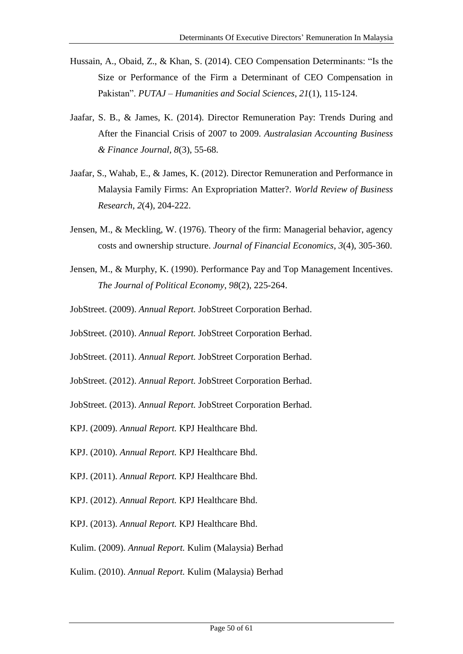- Hussain, A., Obaid, Z., & Khan, S. (2014). CEO Compensation Determinants: "Is the Size or Performance of the Firm a Determinant of CEO Compensation in Pakistan". *PUTAJ – Humanities and Social Sciences*, *21*(1), 115-124.
- Jaafar, S. B., & James, K. (2014). Director Remuneration Pay: Trends During and After the Financial Crisis of 2007 to 2009. *Australasian Accounting Business & Finance Journal, 8*(3), 55-68.
- Jaafar, S., Wahab, E., & James, K. (2012). Director Remuneration and Performance in Malaysia Family Firms: An Expropriation Matter?. *World Review of Business Research*, *2*(4), 204-222.
- Jensen, M., & Meckling, W. (1976). Theory of the firm: Managerial behavior, agency costs and ownership structure. *Journal of Financial Economics*, *3*(4), 305-360.
- Jensen, M., & Murphy, K. (1990). Performance Pay and Top Management Incentives. *The Journal of Political Economy*, *98*(2), 225-264.
- JobStreet. (2009). *Annual Report.* JobStreet Corporation Berhad.
- JobStreet. (2010). *Annual Report.* JobStreet Corporation Berhad.
- JobStreet. (2011). *Annual Report.* JobStreet Corporation Berhad.
- JobStreet. (2012). *Annual Report.* JobStreet Corporation Berhad.
- JobStreet. (2013). *Annual Report.* JobStreet Corporation Berhad.
- KPJ. (2009). *Annual Report.* KPJ Healthcare Bhd.
- KPJ. (2010). *Annual Report.* KPJ Healthcare Bhd.
- KPJ. (2011). *Annual Report.* KPJ Healthcare Bhd.
- KPJ. (2012). *Annual Report.* KPJ Healthcare Bhd.
- KPJ. (2013). *Annual Report.* KPJ Healthcare Bhd.
- Kulim. (2009). *Annual Report.* Kulim (Malaysia) Berhad
- Kulim. (2010). *Annual Report.* Kulim (Malaysia) Berhad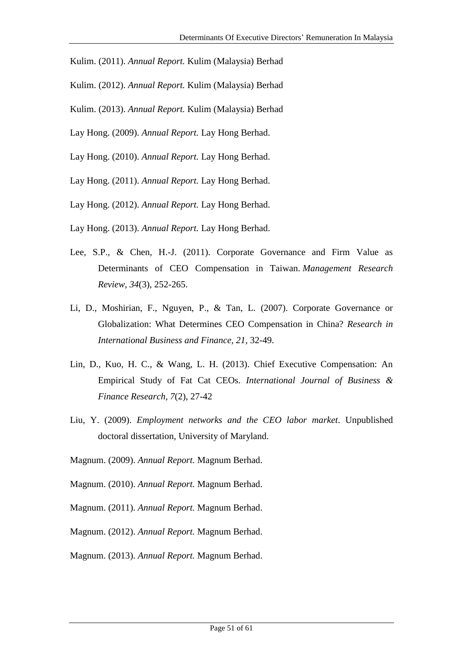- Kulim. (2011). *Annual Report.* Kulim (Malaysia) Berhad
- Kulim. (2012). *Annual Report.* Kulim (Malaysia) Berhad
- Kulim. (2013). *Annual Report.* Kulim (Malaysia) Berhad
- Lay Hong. (2009). *Annual Report.* Lay Hong Berhad.
- Lay Hong. (2010). *Annual Report.* Lay Hong Berhad.
- Lay Hong. (2011). *Annual Report.* Lay Hong Berhad.
- Lay Hong. (2012). *Annual Report.* Lay Hong Berhad.
- Lay Hong. (2013). *Annual Report.* Lay Hong Berhad.
- Lee, S.P., & Chen, H.-J. (2011). Corporate Governance and Firm Value as Determinants of CEO Compensation in Taiwan. *Management Research Review, 34*(3), 252-265.
- Li, D., Moshirian, F., Nguyen, P., & Tan, L. (2007). Corporate Governance or Globalization: What Determines CEO Compensation in China? *Research in International Business and Finance, 21*, 32-49.
- Lin, D., Kuo, H. C., & Wang, L. H. (2013). Chief Executive Compensation: An Empirical Study of Fat Cat CEOs. *International Journal of Business & Finance Research, 7*(2), 27-42
- Liu, Y. (2009). *Employment networks and the CEO labor market*. Unpublished doctoral dissertation, University of Maryland.
- Magnum. (2009). *Annual Report.* Magnum Berhad.
- Magnum. (2010). *Annual Report.* Magnum Berhad.
- Magnum. (2011). *Annual Report.* Magnum Berhad.
- Magnum. (2012). *Annual Report.* Magnum Berhad.
- Magnum. (2013). *Annual Report.* Magnum Berhad.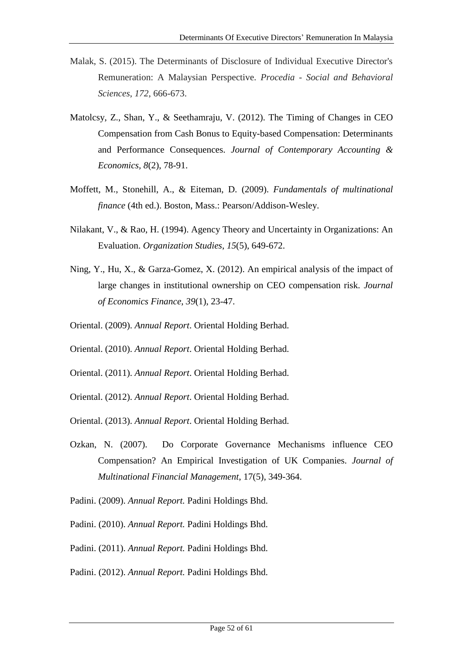- Malak, S. (2015). The Determinants of Disclosure of Individual Executive Director's Remuneration: A Malaysian Perspective. *Procedia - Social and Behavioral Sciences*, *172*, 666-673.
- Matolcsy, Z., Shan, Y., & Seethamraju, V. (2012). The Timing of Changes in CEO Compensation from Cash Bonus to Equity-based Compensation: Determinants and Performance Consequences. *Journal of Contemporary Accounting & Economics, 8*(2), 78-91.
- Moffett, M., Stonehill, A., & Eiteman, D. (2009). *Fundamentals of multinational finance* (4th ed.). Boston, Mass.: Pearson/Addison-Wesley.
- Nilakant, V., & Rao, H. (1994). Agency Theory and Uncertainty in Organizations: An Evaluation. *Organization Studies*, *15*(5), 649-672.
- Ning, Y., Hu, X., & Garza-Gomez, X. (2012). An empirical analysis of the impact of large changes in institutional ownership on CEO compensation risk. *Journal of Economics Finance*, *39*(1), 23-47.
- Oriental. (2009). *Annual Report*. Oriental Holding Berhad.
- Oriental. (2010). *Annual Report*. Oriental Holding Berhad.
- Oriental. (2011). *Annual Report*. Oriental Holding Berhad.
- Oriental. (2012). *Annual Report*. Oriental Holding Berhad.
- Oriental. (2013). *Annual Report*. Oriental Holding Berhad.
- Ozkan, N. (2007). Do Corporate Governance Mechanisms influence CEO Compensation? An Empirical Investigation of UK Companies. *Journal of Multinational Financial Management*, 17(5), 349-364.
- Padini. (2009). *Annual Report.* Padini Holdings Bhd.
- Padini. (2010). *Annual Report.* Padini Holdings Bhd.
- Padini. (2011). *Annual Report.* Padini Holdings Bhd.
- Padini. (2012). *Annual Report.* Padini Holdings Bhd.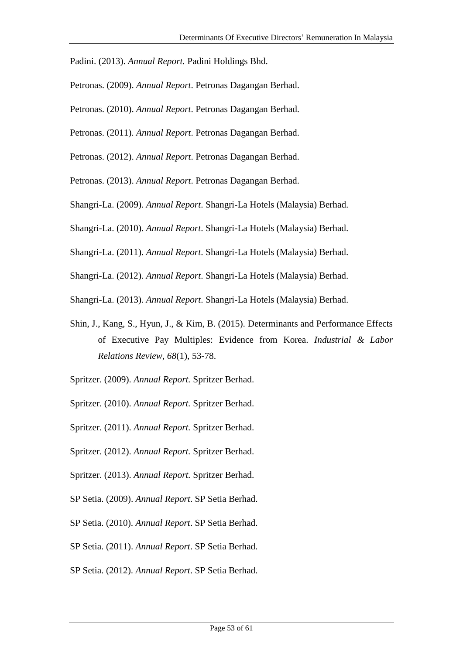Padini. (2013). *Annual Report.* Padini Holdings Bhd.

- Petronas. (2009). *Annual Report*. Petronas Dagangan Berhad.
- Petronas. (2010). *Annual Report*. Petronas Dagangan Berhad.
- Petronas. (2011). *Annual Report*. Petronas Dagangan Berhad.
- Petronas. (2012). *Annual Report*. Petronas Dagangan Berhad.
- Petronas. (2013). *Annual Report*. Petronas Dagangan Berhad.
- Shangri-La. (2009). *Annual Report*. Shangri-La Hotels (Malaysia) Berhad.
- Shangri-La. (2010). *Annual Report*. Shangri-La Hotels (Malaysia) Berhad.
- Shangri-La. (2011). *Annual Report*. Shangri-La Hotels (Malaysia) Berhad.
- Shangri-La. (2012). *Annual Report*. Shangri-La Hotels (Malaysia) Berhad.
- Shangri-La. (2013). *Annual Report*. Shangri-La Hotels (Malaysia) Berhad.
- Shin, J., Kang, S., Hyun, J., & Kim, B. (2015). Determinants and Performance Effects of Executive Pay Multiples: Evidence from Korea. *Industrial & Labor Relations Review, 68*(1), 53-78.
- Spritzer. (2009). *Annual Report.* Spritzer Berhad.
- Spritzer. (2010). *Annual Report.* Spritzer Berhad.
- Spritzer. (2011). *Annual Report.* Spritzer Berhad.
- Spritzer. (2012). *Annual Report.* Spritzer Berhad.
- Spritzer. (2013). *Annual Report.* Spritzer Berhad.
- SP Setia. (2009). *Annual Report*. SP Setia Berhad.
- SP Setia. (2010). *Annual Report*. SP Setia Berhad.
- SP Setia. (2011). *Annual Report*. SP Setia Berhad.
- SP Setia. (2012). *Annual Report*. SP Setia Berhad.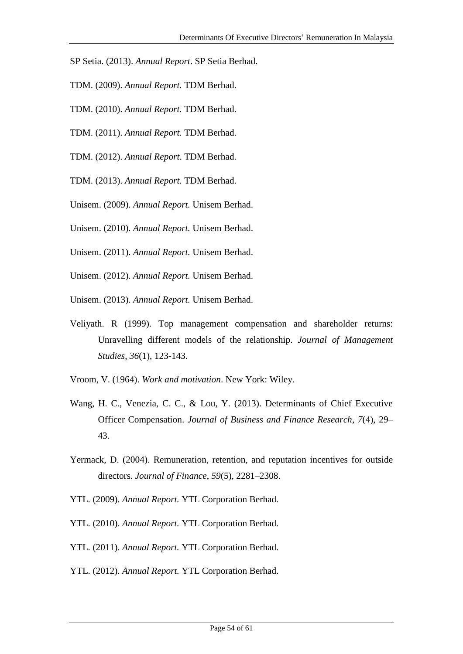- SP Setia. (2013). *Annual Report*. SP Setia Berhad.
- TDM. (2009). *Annual Report.* TDM Berhad.
- TDM. (2010). *Annual Report.* TDM Berhad.
- TDM. (2011). *Annual Report.* TDM Berhad.
- TDM. (2012). *Annual Report*. TDM Berhad.
- TDM. (2013). *Annual Report.* TDM Berhad.
- Unisem. (2009). *Annual Report.* Unisem Berhad.
- Unisem. (2010). *Annual Report.* Unisem Berhad.
- Unisem. (2011). *Annual Report.* Unisem Berhad.
- Unisem. (2012). *Annual Report.* Unisem Berhad.
- Unisem. (2013). *Annual Report.* Unisem Berhad.
- Veliyath. R (1999). Top management compensation and shareholder returns: Unravelling different models of the relationship. *Journal of Management Studies*, *36*(1), 123-143.
- Vroom, V. (1964). *Work and motivation*. New York: Wiley.
- Wang, H. C., Venezia, C. C., & Lou, Y. (2013). Determinants of Chief Executive Officer Compensation. *Journal of Business and Finance Research*, *7*(4), 29– 43.
- Yermack, D. (2004). Remuneration, retention, and reputation incentives for outside directors. *Journal of Finance*, *59*(5), 2281–2308.
- YTL. (2009). *Annual Report.* YTL Corporation Berhad.
- YTL. (2010). *Annual Report.* YTL Corporation Berhad.
- YTL. (2011). *Annual Report.* YTL Corporation Berhad.
- YTL. (2012). *Annual Report.* YTL Corporation Berhad.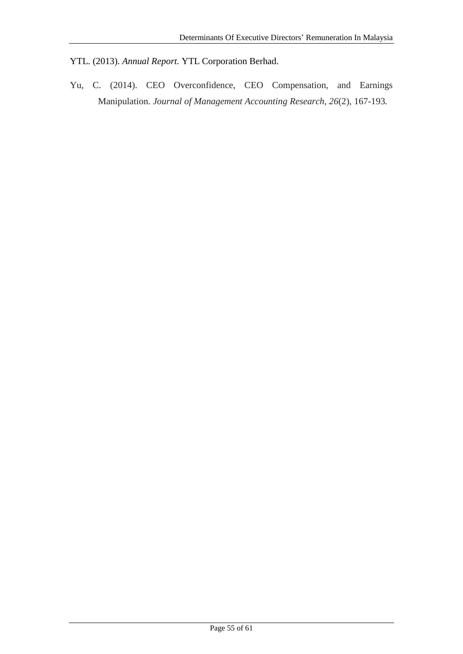YTL. (2013). *Annual Report.* YTL Corporation Berhad.

Yu, C. (2014). CEO Overconfidence, CEO Compensation, and Earnings Manipulation. *Journal of Management Accounting Research, 26*(2)*,* 167-193*.*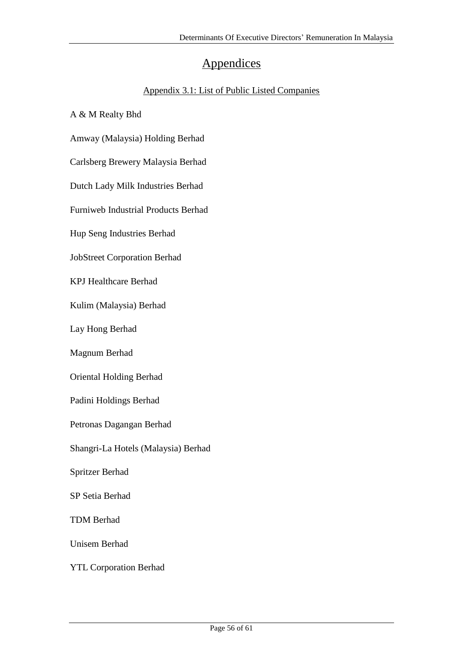## **Appendices**

#### Appendix 3.1: List of Public Listed Companies

A & M Realty Bhd

Amway (Malaysia) Holding Berhad

Carlsberg Brewery Malaysia Berhad

Dutch Lady Milk Industries Berhad

Furniweb Industrial Products Berhad

Hup Seng Industries Berhad

JobStreet Corporation Berhad

KPJ Healthcare Berhad

Kulim (Malaysia) Berhad

Lay Hong Berhad

Magnum Berhad

Oriental Holding Berhad

Padini Holdings Berhad

Petronas Dagangan Berhad

Shangri-La Hotels (Malaysia) Berhad

Spritzer Berhad

SP Setia Berhad

TDM Berhad

Unisem Berhad

YTL Corporation Berhad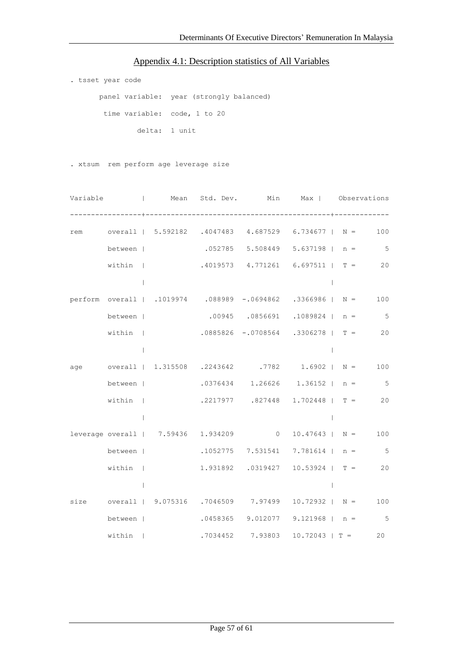#### Appendix 4.1: Description statistics of All Variables

```
. tsset year code
panel variable: year (strongly balanced)
 time variable: code, 1 to 20
         delta: 1 unit
```
. xtsum rem perform age leverage size

|  |         |              |  |                                     | Variable ( ) Mean Std. Dev. Min Max   Observations          |                 |
|--|---------|--------------|--|-------------------------------------|-------------------------------------------------------------|-----------------|
|  |         |              |  |                                     |                                                             |                 |
|  |         |              |  |                                     | rem overall   5.592182 .4047483 4.687529 6.734677   N =     | 100             |
|  | between |              |  |                                     | $.052785$ 5.508449 5.637198   n = 5                         |                 |
|  | within  |              |  |                                     | $.4019573$ $4.771261$ $6.697511$   T = 20                   |                 |
|  |         | $\Box$       |  |                                     | $\Box$                                                      |                 |
|  |         |              |  |                                     |                                                             | 100             |
|  | between |              |  |                                     | $.00945$ $.0856691$ $.1089824$   n = 5                      |                 |
|  | within  |              |  |                                     | $.0885826 - .0708564$ $.3306278$   T = 20                   |                 |
|  |         | $\mathbf{I}$ |  |                                     |                                                             |                 |
|  |         |              |  |                                     | age overall   1.315508 .2243642 .7782 1.6902   N = 100      |                 |
|  | between |              |  |                                     | $.0376434$ 1.26626 1.36152   n = 5                          |                 |
|  | within  |              |  |                                     | $.2217977$ $.827448$ $1.702448$   T = 20                    |                 |
|  |         | $\perp$      |  |                                     | $\Box$                                                      |                 |
|  |         |              |  | leverage overall   7.59436 1.934209 | $0 \t 10.47643 \t N =$                                      | 100             |
|  |         |              |  |                                     | between   .1052775 7.531541 7.781614   n = 5                |                 |
|  | within  |              |  |                                     | $1.931892$ $.0319427$ $10.53924$   T = 20                   |                 |
|  |         | $\perp$      |  |                                     | $\perp$                                                     |                 |
|  |         |              |  |                                     | size overall   9.075316 .7046509 7.97499 10.72932   N = 100 |                 |
|  | between |              |  |                                     | $.0458365$ 9.012077 9.121968   n =                          | $5\overline{)}$ |
|  | within  |              |  | .7034452 7.93803                    | $10.72043$   T =                                            | 20              |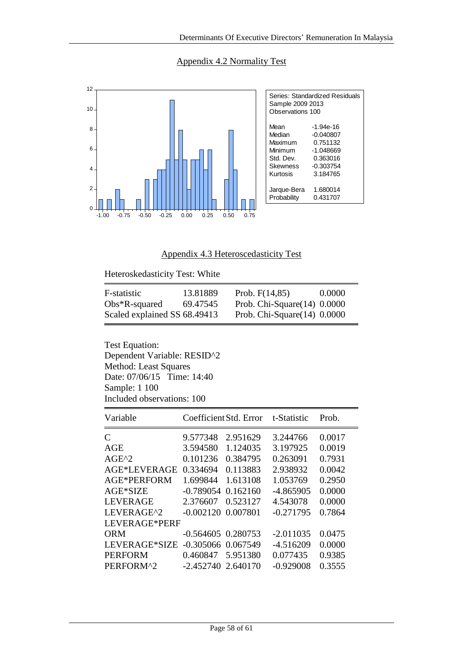Appendix 4.2 Normality Test



Appendix 4.3 Heteroscedasticity Test

Heteroskedasticity Test: White

| F-statistic                  | 13.81889 | Prob. $F(14,85)$               | 0.0000 |
|------------------------------|----------|--------------------------------|--------|
| $Obs*R$ -squared             | 69.47545 | Prob. Chi-Square $(14)$ 0.0000 |        |
| Scaled explained SS 68.49413 |          | Prob. Chi-Square $(14)$ 0.0000 |        |

Test Equation: Dependent Variable: RESID^2 Method: Least Squares Date: 07/06/15 Time: 14:40 Sample: 1 100 Included observations: 100

| Variable        |                        | Coefficient Std. Error | t-Statistic | Prob.  |  |  |  |  |
|-----------------|------------------------|------------------------|-------------|--------|--|--|--|--|
| C               | 9.577348               | 2.951629               | 3.244766    | 0.0017 |  |  |  |  |
| AGE             | 3.594580               | 1.124035               | 3.197925    | 0.0019 |  |  |  |  |
| $AGE^2$         | 0.101236               | 0.384795               | 0.263091    | 0.7931 |  |  |  |  |
| AGE*LEVERAGE    | 0.334694               | 0.113883               | 2.938932    | 0.0042 |  |  |  |  |
| AGE*PERFORM     | 1.699844               | 1.613108               | 1.053769    | 0.2950 |  |  |  |  |
| AGE*SIZE        | $-0.789054$            | 0.162160               | $-4.865905$ | 0.0000 |  |  |  |  |
| <b>LEVERAGE</b> | 2.376607               | 0.523127               | 4.543078    | 0.0000 |  |  |  |  |
| LEVERAGE^2      | $-0.002120$ $0.007801$ |                        | $-0.271795$ | 0.7864 |  |  |  |  |
| LEVERAGE*PERF   |                        |                        |             |        |  |  |  |  |
| <b>ORM</b>      | $-0.564605$ $0.280753$ |                        | $-2.011035$ | 0.0475 |  |  |  |  |
| LEVERAGE*SIZE   | $-0.305066$ $0.067549$ |                        | $-4.516209$ | 0.0000 |  |  |  |  |
| <b>PERFORM</b>  | 0.460847               | 5.951380               | 0.077435    | 0.9385 |  |  |  |  |
| PERFORM^2       | $-2.452740$ 2.640170   |                        | $-0.929008$ | 0.3555 |  |  |  |  |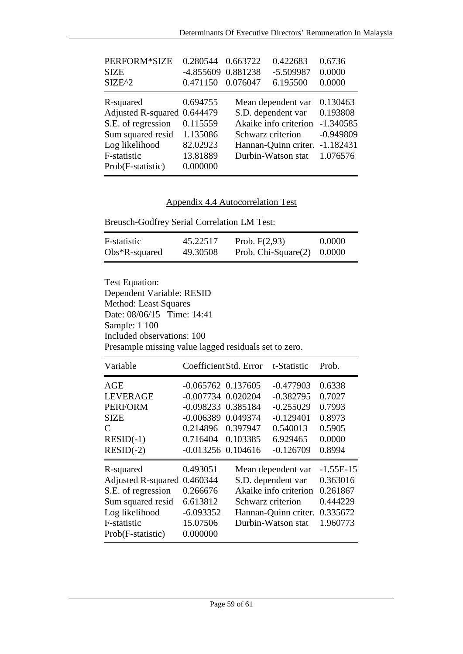| PERFORM*SIZE<br><b>SIZE</b><br>$SIZE^2$                                                                                                   | 0.280544<br>-4.855609 0.881238<br>0.471150                           | 0.663722<br>0.076047 | 0.422683<br>$-5.509987$<br>6.195500                                                                             | 0.6736<br>0.0000<br>0.0000                                                    |
|-------------------------------------------------------------------------------------------------------------------------------------------|----------------------------------------------------------------------|----------------------|-----------------------------------------------------------------------------------------------------------------|-------------------------------------------------------------------------------|
| R-squared<br>Adjusted R-squared 0.644479<br>S.E. of regression<br>Sum squared resid<br>Log likelihood<br>F-statistic<br>Prob(F-statistic) | 0.694755<br>0.115559<br>1.135086<br>82.02923<br>13.81889<br>0.000000 | Schwarz criterion    | Mean dependent var<br>S.D. dependent var<br>Akaike info criterion<br>Hannan-Quinn criter.<br>Durbin-Watson stat | 0.130463<br>0.193808<br>$-1.340585$<br>$-0.949809$<br>$-1.182431$<br>1.076576 |

## Appendix 4.4 Autocorrelation Test

Breusch-Godfrey Serial Correlation LM Test:

| F-statistic      | 45.22517 | Prob. $F(2,93)$               | 0.0000 |
|------------------|----------|-------------------------------|--------|
| $Obs*R$ -squared | 49.30508 | Prob. Chi-Square $(2)$ 0.0000 |        |

Test Equation: Dependent Variable: RESID Method: Least Squares Date: 08/06/15 Time: 14:41 Sample: 1 100 Included observations: 100 Presample missing value lagged residuals set to zero.

| Variable                                                                                                                                |                                                                                                                                                             | Coefficient Std. Error | t-Statistic                                                                                                     | Prob.                                                                   |
|-----------------------------------------------------------------------------------------------------------------------------------------|-------------------------------------------------------------------------------------------------------------------------------------------------------------|------------------------|-----------------------------------------------------------------------------------------------------------------|-------------------------------------------------------------------------|
| AGE<br><b>LEVERAGE</b><br><b>PERFORM</b><br><b>SIZE</b><br>$\mathcal{C}_{\mathcal{C}}$<br>$RESID(-1)$<br>$RESID(-2)$                    | $-0.065762$ 0.137605<br>$-0.007734$ 0.020204<br>$-0.098233$ $0.385184$<br>$-0.006389$ $0.049374$<br>0.214896 0.397947<br>0.716404<br>$-0.013256$ $0.104616$ | 0.103385               | $-0.477903$<br>$-0.382795$<br>$-0.255029$<br>$-0.129401$<br>0.540013<br>6.929465<br>$-0.126709$                 | 0.6338<br>0.7027<br>0.7993<br>0.8973<br>0.5905<br>0.0000<br>0.8994      |
| R-squared<br><b>Adjusted R-squared</b><br>S.E. of regression<br>Sum squared resid<br>Log likelihood<br>F-statistic<br>Prob(F-statistic) | 0.493051<br>0.460344<br>0.266676<br>6.613812<br>$-6.093352$<br>15.07506<br>0.000000                                                                         | Schwarz criterion      | Mean dependent var<br>S.D. dependent var<br>Akaike info criterion<br>Hannan-Quinn criter.<br>Durbin-Watson stat | $-1.55E-15$<br>0.363016<br>0.261867<br>0.444229<br>0.335672<br>1.960773 |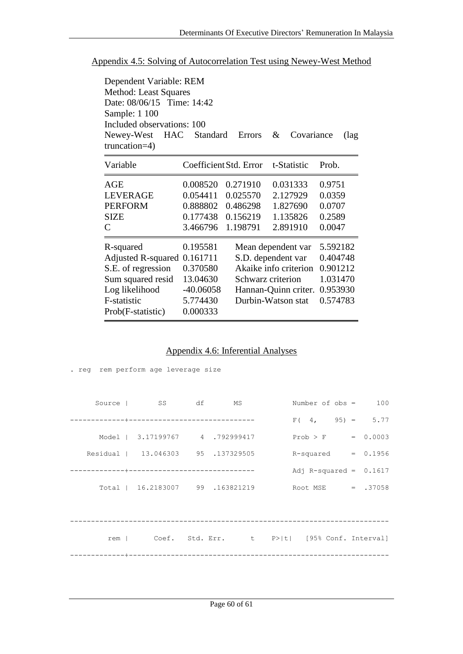| Appendix 4.5: Solving of Autocorrelation Test using Newey-West Method |
|-----------------------------------------------------------------------|
|-----------------------------------------------------------------------|

| Dependent Variable: REM<br>Method: Least Squares<br>Date: 08/06/15 Time: 14:42 |             |                                   |                      |          |  |  |  |  |  |
|--------------------------------------------------------------------------------|-------------|-----------------------------------|----------------------|----------|--|--|--|--|--|
| Sample: 1 100                                                                  |             |                                   |                      |          |  |  |  |  |  |
| Included observations: 100                                                     |             |                                   |                      |          |  |  |  |  |  |
| Newey-West HAC<br>truncation=4)                                                | Standard    | Errors                            | &<br>Covariance      | (lag     |  |  |  |  |  |
| Variable                                                                       |             | Coefficient Std. Error            | t-Statistic          | Prob.    |  |  |  |  |  |
| AGE                                                                            | 0.008520    | 0.271910                          | 0.031333             | 0.9751   |  |  |  |  |  |
| <b>LEVERAGE</b>                                                                | 0.054411    | 0.025570                          | 2.127929             | 0.0359   |  |  |  |  |  |
| <b>PERFORM</b>                                                                 | 0.888802    | 0.486298                          | 1.827690             | 0.0707   |  |  |  |  |  |
| <b>SIZE</b>                                                                    | 0.177438    | 0.156219                          | 1.135826             | 0.2589   |  |  |  |  |  |
| $\mathcal{C}_{\mathcal{C}}$                                                    | 3.466796    | 1.198791                          | 2.891910             | 0.0047   |  |  |  |  |  |
| R-squared                                                                      | 0.195581    |                                   | Mean dependent var   | 5.592182 |  |  |  |  |  |
| Adjusted R-squared                                                             | 0.161711    | 0.404748<br>S.D. dependent var    |                      |          |  |  |  |  |  |
| S.E. of regression                                                             | 0.370580    | Akaike info criterion<br>0.901212 |                      |          |  |  |  |  |  |
| Sum squared resid                                                              | 13.04630    | 1.031470<br>Schwarz criterion     |                      |          |  |  |  |  |  |
| Log likelihood                                                                 | $-40.06058$ |                                   | Hannan-Quinn criter. | 0.953930 |  |  |  |  |  |
| F-statistic                                                                    | 5.774430    |                                   | Durbin-Watson stat   | 0.574783 |  |  |  |  |  |
| Prob(F-statistic)                                                              | 0.000333    |                                   |                      |          |  |  |  |  |  |

## Appendix 4.6: Inferential Analyses

|  | . req rem perform age leverage size |                                                       |                          |  |  |
|--|-------------------------------------|-------------------------------------------------------|--------------------------|--|--|
|  | Source I SS df MS                   |                                                       | Number of $obs = 100$    |  |  |
|  |                                     |                                                       | $F(4, 95) = 5.77$        |  |  |
|  |                                     | Model   $3.17199767$ 4 .792999417 Prob > F = 0.0003   |                          |  |  |
|  |                                     | Residual   13.046303 95 .137329505 R-squared = 0.1956 |                          |  |  |
|  |                                     |                                                       | Adj R-squared = $0.1617$ |  |  |
|  |                                     | Total   16.2183007 99 .163821219 Root MSE = .37058    |                          |  |  |
|  |                                     |                                                       |                          |  |  |
|  |                                     | rem   Coef. Std. Err. t P> t  [95% Conf. Interval]    |                          |  |  |
|  |                                     |                                                       |                          |  |  |